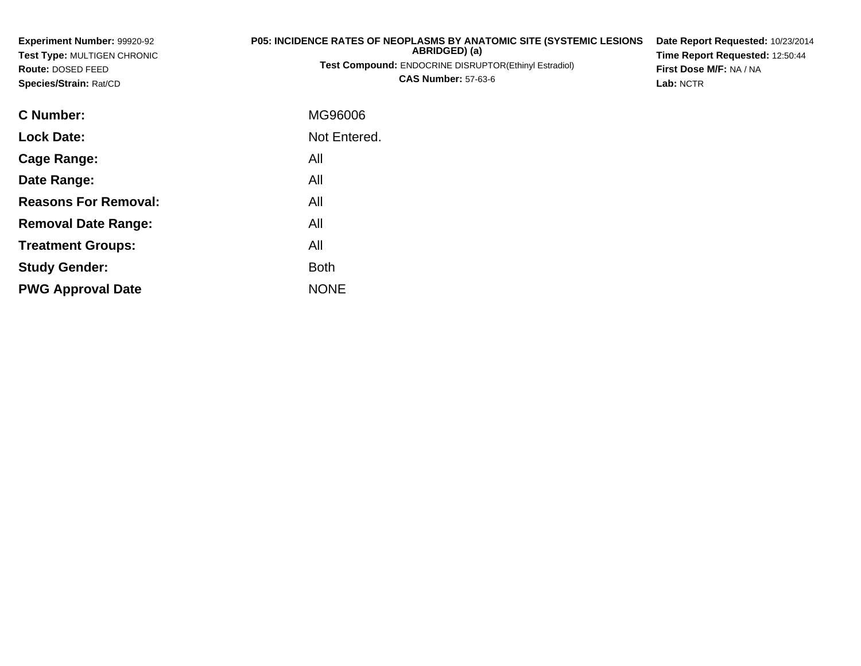| Experiment Number: 99920-92<br><b>Test Type: MULTIGEN CHRONIC</b><br>Route: DOSED FEED<br>Species/Strain: Rat/CD | P05: INCIDENCE RATES OF NEOPLASMS BY ANATOMIC SITE (SYSTEMIC LESIONS<br>ABRIDGED) (a)<br>Test Compound: ENDOCRINE DISRUPTOR(Ethinyl Estradiol)<br><b>CAS Number: 57-63-6</b> | Date Report Requested: 10/23/2014<br>Time Report Requested: 12:50:44<br>First Dose M/F: NA / NA<br>Lab: NCTR |
|------------------------------------------------------------------------------------------------------------------|------------------------------------------------------------------------------------------------------------------------------------------------------------------------------|--------------------------------------------------------------------------------------------------------------|
| <b>C</b> Number:                                                                                                 | MG96006                                                                                                                                                                      |                                                                                                              |
| <b>Lock Date:</b>                                                                                                | Not Entered.                                                                                                                                                                 |                                                                                                              |
| Cage Range:                                                                                                      | All                                                                                                                                                                          |                                                                                                              |
| Date Range:                                                                                                      | All                                                                                                                                                                          |                                                                                                              |
| <b>Reasons For Removal:</b>                                                                                      | All                                                                                                                                                                          |                                                                                                              |
| <b>Removal Date Range:</b>                                                                                       | All                                                                                                                                                                          |                                                                                                              |
| <b>Treatment Groups:</b>                                                                                         | All                                                                                                                                                                          |                                                                                                              |
| <b>Study Gender:</b>                                                                                             | <b>Both</b>                                                                                                                                                                  |                                                                                                              |

e NONE

**PWG Approval Date**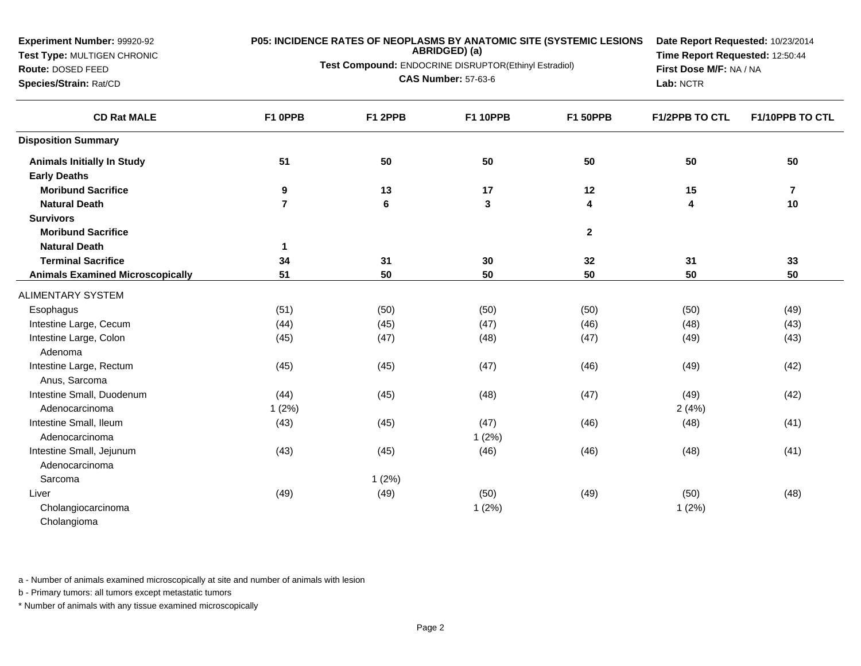## **Test Type:** MULTIGEN CHRONIC

### **Route:** DOSED FEED

**Species/Strain:** Rat/CD

#### **P05: INCIDENCE RATES OF NEOPLASMS BY ANATOMIC SITE (SYSTEMIC LESIONS**

**ABRIDGED) (a)**

**Test Compound:** ENDOCRINE DISRUPTOR(Ethinyl Estradiol)

**CAS Number:** 57-63-6

**Date Report Requested:** 10/23/2014**Time Report Requested:** 12:50:44**First Dose M/F:** NA / NA**Lab:** NCTR

| <b>CD Rat MALE</b>                      | F1 OPPB        | F1 2PPB | <b>F1 10PPB</b> | <b>F1 50PPB</b> | F1/2PPB TO CTL | F1/10PPB TO CTL |
|-----------------------------------------|----------------|---------|-----------------|-----------------|----------------|-----------------|
| <b>Disposition Summary</b>              |                |         |                 |                 |                |                 |
| <b>Animals Initially In Study</b>       | 51             | 50      | 50              | 50              | 50             | 50              |
| <b>Early Deaths</b>                     |                |         |                 |                 |                |                 |
| <b>Moribund Sacrifice</b>               | 9              | 13      | 17              | 12              | 15             | 7               |
| <b>Natural Death</b>                    | $\overline{7}$ | $\bf 6$ | $\mathbf{3}$    | 4               | 4              | 10              |
| <b>Survivors</b>                        |                |         |                 |                 |                |                 |
| <b>Moribund Sacrifice</b>               |                |         |                 | $\mathbf{2}$    |                |                 |
| <b>Natural Death</b>                    | $\mathbf{1}$   |         |                 |                 |                |                 |
| <b>Terminal Sacrifice</b>               | 34             | 31      | 30              | 32              | 31             | 33              |
| <b>Animals Examined Microscopically</b> | 51             | 50      | 50              | 50              | 50             | 50              |
| ALIMENTARY SYSTEM                       |                |         |                 |                 |                |                 |
| Esophagus                               | (51)           | (50)    | (50)            | (50)            | (50)           | (49)            |
| Intestine Large, Cecum                  | (44)           | (45)    | (47)            | (46)            | (48)           | (43)            |
| Intestine Large, Colon                  | (45)           | (47)    | (48)            | (47)            | (49)           | (43)            |
| Adenoma                                 |                |         |                 |                 |                |                 |
| Intestine Large, Rectum                 | (45)           | (45)    | (47)            | (46)            | (49)           | (42)            |
| Anus, Sarcoma                           |                |         |                 |                 |                |                 |
| Intestine Small, Duodenum               | (44)           | (45)    | (48)            | (47)            | (49)           | (42)            |
| Adenocarcinoma                          | 1(2%)          |         |                 |                 | 2(4%)          |                 |
| Intestine Small, Ileum                  | (43)           | (45)    | (47)            | (46)            | (48)           | (41)            |
| Adenocarcinoma                          |                |         | 1(2%)           |                 |                |                 |
| Intestine Small, Jejunum                | (43)           | (45)    | (46)            | (46)            | (48)           | (41)            |
| Adenocarcinoma                          |                |         |                 |                 |                |                 |
| Sarcoma                                 |                | 1(2%)   |                 |                 |                |                 |
| Liver                                   | (49)           | (49)    | (50)            | (49)            | (50)           | (48)            |
| Cholangiocarcinoma                      |                |         | 1(2%)           |                 | 1(2%)          |                 |
| Cholangioma                             |                |         |                 |                 |                |                 |

a - Number of animals examined microscopically at site and number of animals with lesion

b - Primary tumors: all tumors except metastatic tumors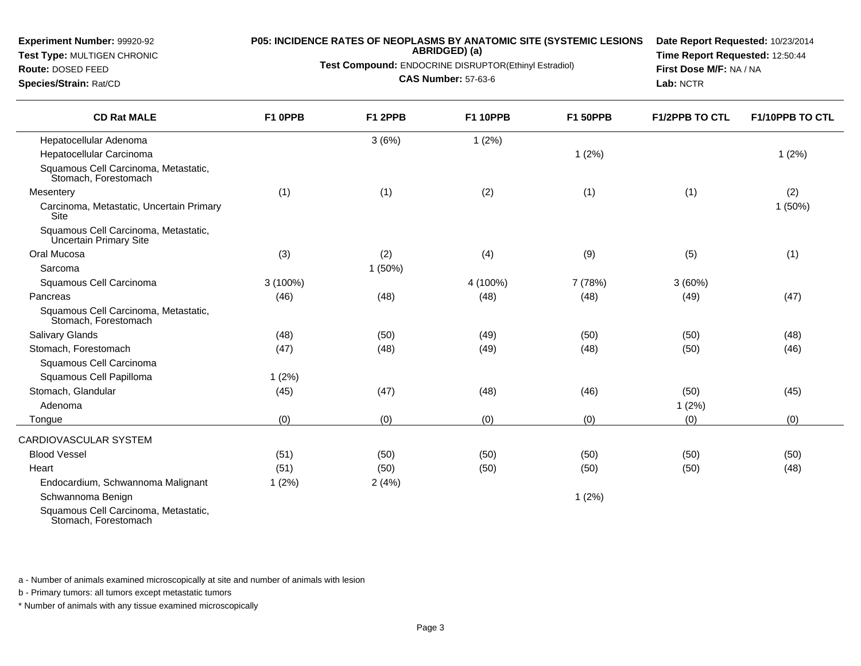**Test Type:** MULTIGEN CHRONIC

**Route:** DOSED FEED**Species/Strain:** Rat/CD

 $\overline{\phantom{0}}$ 

### **P05: INCIDENCE RATES OF NEOPLASMS BY ANATOMIC SITE (SYSTEMIC LESIONS**

**ABRIDGED) (a)**

**Test Compound:** ENDOCRINE DISRUPTOR(Ethinyl Estradiol)

**CAS Number:** 57-63-6

**Date Report Requested:** 10/23/2014**Time Report Requested:** 12:50:44**First Dose M/F:** NA / NA**Lab:** NCTR

| <b>CD Rat MALE</b>                                             | F1 OPPB    | F1 2PPB | <b>F1 10PPB</b> | <b>F1 50PPB</b> | <b>F1/2PPB TO CTL</b> | <b>F1/10PPB TO CTL</b> |
|----------------------------------------------------------------|------------|---------|-----------------|-----------------|-----------------------|------------------------|
| Hepatocellular Adenoma                                         |            | 3(6%)   | 1(2%)           |                 |                       |                        |
| Hepatocellular Carcinoma                                       |            |         |                 | 1(2%)           |                       | 1(2%)                  |
| Squamous Cell Carcinoma, Metastatic,<br>Stomach, Forestomach   |            |         |                 |                 |                       |                        |
| Mesentery                                                      | (1)        | (1)     | (2)             | (1)             | (1)                   | (2)                    |
| Carcinoma, Metastatic, Uncertain Primary<br>Site               |            |         |                 |                 |                       | 1 (50%)                |
| Squamous Cell Carcinoma, Metastatic,<br>Uncertain Primary Site |            |         |                 |                 |                       |                        |
| Oral Mucosa                                                    | (3)        | (2)     | (4)             | (9)             | (5)                   | (1)                    |
| Sarcoma                                                        |            | 1(50%)  |                 |                 |                       |                        |
| Squamous Cell Carcinoma                                        | $3(100\%)$ |         | 4 (100%)        | 7 (78%)         | 3(60%)                |                        |
| Pancreas                                                       | (46)       | (48)    | (48)            | (48)            | (49)                  | (47)                   |
| Squamous Cell Carcinoma, Metastatic,<br>Stomach, Forestomach   |            |         |                 |                 |                       |                        |
| <b>Salivary Glands</b>                                         | (48)       | (50)    | (49)            | (50)            | (50)                  | (48)                   |
| Stomach, Forestomach                                           | (47)       | (48)    | (49)            | (48)            | (50)                  | (46)                   |
| Squamous Cell Carcinoma                                        |            |         |                 |                 |                       |                        |
| Squamous Cell Papilloma                                        | 1(2%)      |         |                 |                 |                       |                        |
| Stomach, Glandular                                             | (45)       | (47)    | (48)            | (46)            | (50)                  | (45)                   |
| Adenoma                                                        |            |         |                 |                 | 1(2%)                 |                        |
| Tongue                                                         | (0)        | (0)     | (0)             | (0)             | (0)                   | (0)                    |
| CARDIOVASCULAR SYSTEM                                          |            |         |                 |                 |                       |                        |
| <b>Blood Vessel</b>                                            | (51)       | (50)    | (50)            | (50)            | (50)                  | (50)                   |
| Heart                                                          | (51)       | (50)    | (50)            | (50)            | (50)                  | (48)                   |
| Endocardium, Schwannoma Malignant                              | 1(2%)      | 2(4%)   |                 |                 |                       |                        |
| Schwannoma Benign                                              |            |         |                 | 1(2%)           |                       |                        |
| Squamous Cell Carcinoma, Metastatic,                           |            |         |                 |                 |                       |                        |

Squamous Cell Carcinoma, Metastatic, Stomach, Forestomach

a - Number of animals examined microscopically at site and number of animals with lesion

b - Primary tumors: all tumors except metastatic tumors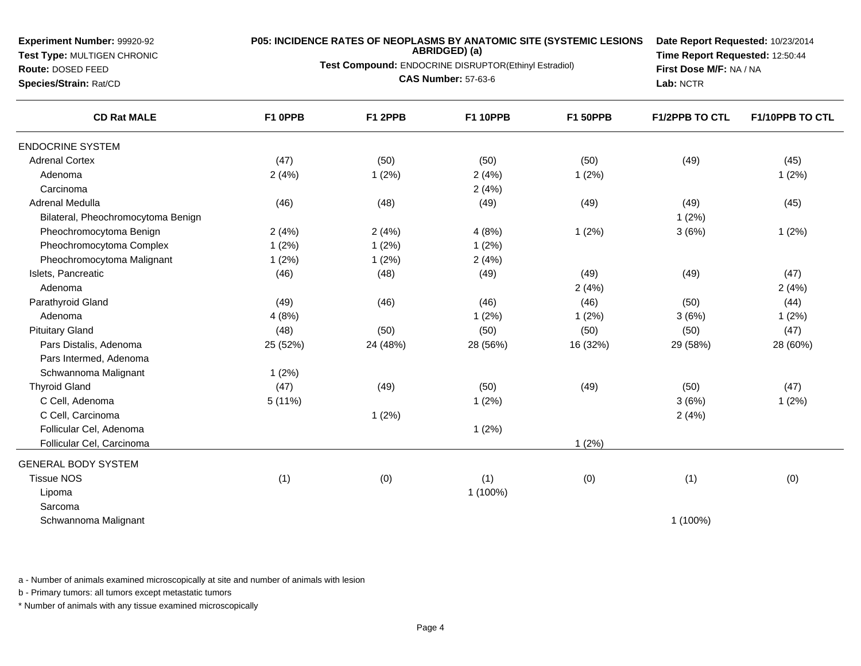**Test Type:** MULTIGEN CHRONIC**Route:** DOSED FEED

**Species/Strain:** Rat/CD

# **P05: INCIDENCE RATES OF NEOPLASMS BY ANATOMIC SITE (SYSTEMIC LESIONS ABRIDGED) (a)**

**Test Compound:** ENDOCRINE DISRUPTOR(Ethinyl Estradiol)

**CAS Number:** 57-63-6

**Date Report Requested:** 10/23/2014**Time Report Requested:** 12:50:44**First Dose M/F:** NA / NA**Lab:** NCTR

| <b>CD Rat MALE</b>                 | F1 OPPB  | F1 2PPB  | <b>F1 10PPB</b> | <b>F1 50PPB</b> | <b>F1/2PPB TO CTL</b> | F1/10PPB TO CTL |
|------------------------------------|----------|----------|-----------------|-----------------|-----------------------|-----------------|
| <b>ENDOCRINE SYSTEM</b>            |          |          |                 |                 |                       |                 |
| <b>Adrenal Cortex</b>              | (47)     | (50)     | (50)            | (50)            | (49)                  | (45)            |
| Adenoma                            | 2(4%)    | 1(2%)    | 2(4%)           | 1(2%)           |                       | 1(2%)           |
| Carcinoma                          |          |          | 2(4%)           |                 |                       |                 |
| Adrenal Medulla                    | (46)     | (48)     | (49)            | (49)            | (49)                  | (45)            |
| Bilateral, Pheochromocytoma Benign |          |          |                 |                 | 1(2%)                 |                 |
| Pheochromocytoma Benign            | 2(4%)    | 2(4%)    | 4(8%)           | 1(2%)           | 3(6%)                 | 1(2%)           |
| Pheochromocytoma Complex           | 1(2%)    | 1(2%)    | 1(2%)           |                 |                       |                 |
| Pheochromocytoma Malignant         | 1(2%)    | 1(2%)    | 2(4%)           |                 |                       |                 |
| Islets, Pancreatic                 | (46)     | (48)     | (49)            | (49)            | (49)                  | (47)            |
| Adenoma                            |          |          |                 | 2(4%)           |                       | 2(4%)           |
| Parathyroid Gland                  | (49)     | (46)     | (46)            | (46)            | (50)                  | (44)            |
| Adenoma                            | 4(8%)    |          | 1(2%)           | 1(2%)           | 3(6%)                 | 1(2%)           |
| <b>Pituitary Gland</b>             | (48)     | (50)     | (50)            | (50)            | (50)                  | (47)            |
| Pars Distalis, Adenoma             | 25 (52%) | 24 (48%) | 28 (56%)        | 16 (32%)        | 29 (58%)              | 28 (60%)        |
| Pars Intermed, Adenoma             |          |          |                 |                 |                       |                 |
| Schwannoma Malignant               | 1(2%)    |          |                 |                 |                       |                 |
| <b>Thyroid Gland</b>               | (47)     | (49)     | (50)            | (49)            | (50)                  | (47)            |
| C Cell, Adenoma                    | 5(11%)   |          | 1(2%)           |                 | 3(6%)                 | 1(2%)           |
| C Cell, Carcinoma                  |          | 1(2%)    |                 |                 | 2(4%)                 |                 |
| Follicular Cel, Adenoma            |          |          | 1(2%)           |                 |                       |                 |
| Follicular Cel, Carcinoma          |          |          |                 | 1(2%)           |                       |                 |
| <b>GENERAL BODY SYSTEM</b>         |          |          |                 |                 |                       |                 |
| <b>Tissue NOS</b>                  | (1)      | (0)      | (1)             | (0)             | (1)                   | (0)             |
| Lipoma                             |          |          | 1 (100%)        |                 |                       |                 |
| Sarcoma                            |          |          |                 |                 |                       |                 |
| Schwannoma Malignant               |          |          |                 |                 | 1 (100%)              |                 |

a - Number of animals examined microscopically at site and number of animals with lesion

b - Primary tumors: all tumors except metastatic tumors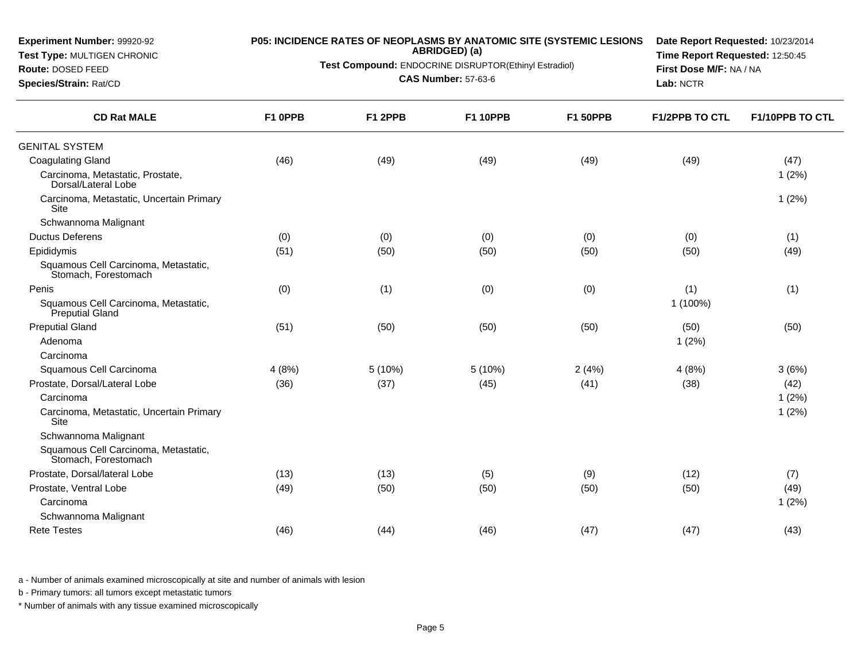**Test Type:** MULTIGEN CHRONIC

**Route:** DOSED FEED**Species/Strain:** Rat/CD

# **P05: INCIDENCE RATES OF NEOPLASMS BY ANATOMIC SITE (SYSTEMIC LESIONS ABRIDGED) (a)**

**Test Compound:** ENDOCRINE DISRUPTOR(Ethinyl Estradiol)

**CAS Number:** 57-63-6

**Date Report Requested:** 10/23/2014**Time Report Requested:** 12:50:45**First Dose M/F:** NA / NA**Lab:** NCTR

| <b>CD Rat MALE</b>                                           | F1 OPPB | F1 2PPB | <b>F1 10PPB</b> | <b>F1 50PPB</b> | <b>F1/2PPB TO CTL</b> | F1/10PPB TO CTL |
|--------------------------------------------------------------|---------|---------|-----------------|-----------------|-----------------------|-----------------|
| <b>GENITAL SYSTEM</b>                                        |         |         |                 |                 |                       |                 |
| <b>Coagulating Gland</b>                                     | (46)    | (49)    | (49)            | (49)            | (49)                  | (47)            |
| Carcinoma, Metastatic, Prostate,<br>Dorsal/Lateral Lobe      |         |         |                 |                 |                       | 1(2%)           |
| Carcinoma, Metastatic, Uncertain Primary<br><b>Site</b>      |         |         |                 |                 |                       | 1(2%)           |
| Schwannoma Malignant                                         |         |         |                 |                 |                       |                 |
| <b>Ductus Deferens</b>                                       | (0)     | (0)     | (0)             | (0)             | (0)                   | (1)             |
| Epididymis                                                   | (51)    | (50)    | (50)            | (50)            | (50)                  | (49)            |
| Squamous Cell Carcinoma, Metastatic,<br>Stomach, Forestomach |         |         |                 |                 |                       |                 |
| Penis                                                        | (0)     | (1)     | (0)             | (0)             | (1)                   | (1)             |
| Squamous Cell Carcinoma, Metastatic,<br>Preputial Gland      |         |         |                 |                 | 1 (100%)              |                 |
| <b>Preputial Gland</b>                                       | (51)    | (50)    | (50)            | (50)            | (50)                  | (50)            |
| Adenoma                                                      |         |         |                 |                 | 1(2%)                 |                 |
| Carcinoma                                                    |         |         |                 |                 |                       |                 |
| Squamous Cell Carcinoma                                      | 4(8%)   | 5 (10%) | 5 (10%)         | 2(4%)           | 4(8%)                 | 3(6%)           |
| Prostate, Dorsal/Lateral Lobe                                | (36)    | (37)    | (45)            | (41)            | (38)                  | (42)            |
| Carcinoma                                                    |         |         |                 |                 |                       | 1(2%)           |
| Carcinoma, Metastatic, Uncertain Primary<br>Site             |         |         |                 |                 |                       | 1(2%)           |
| Schwannoma Malignant                                         |         |         |                 |                 |                       |                 |
| Squamous Cell Carcinoma, Metastatic,<br>Stomach, Forestomach |         |         |                 |                 |                       |                 |
| Prostate, Dorsal/lateral Lobe                                | (13)    | (13)    | (5)             | (9)             | (12)                  | (7)             |
| Prostate, Ventral Lobe                                       | (49)    | (50)    | (50)            | (50)            | (50)                  | (49)            |
| Carcinoma                                                    |         |         |                 |                 |                       | 1(2%)           |
| Schwannoma Malignant                                         |         |         |                 |                 |                       |                 |
| <b>Rete Testes</b>                                           | (46)    | (44)    | (46)            | (47)            | (47)                  | (43)            |
|                                                              |         |         |                 |                 |                       |                 |

a - Number of animals examined microscopically at site and number of animals with lesion

b - Primary tumors: all tumors except metastatic tumors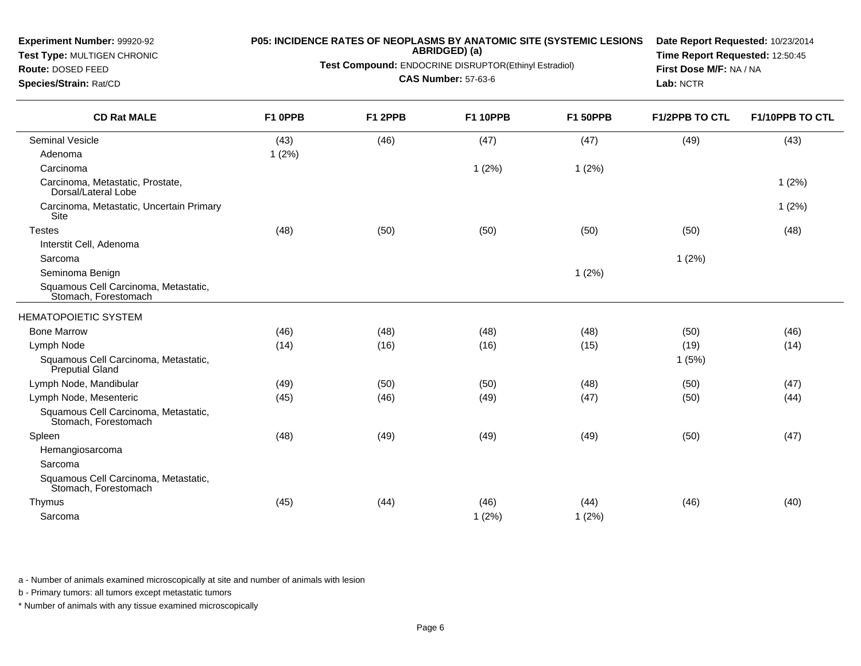**Test Type:** MULTIGEN CHRONIC

**Route:** DOSED FEED**Species/Strain:** Rat/CD

# **P05: INCIDENCE RATES OF NEOPLASMS BY ANATOMIC SITE (SYSTEMIC LESIONS ABRIDGED) (a)**

**Test Compound:** ENDOCRINE DISRUPTOR(Ethinyl Estradiol)

**CAS Number:** 57-63-6

**Date Report Requested:** 10/23/2014**Time Report Requested:** 12:50:45**First Dose M/F:** NA / NA**Lab:** NCTR

| <b>CD Rat MALE</b>                                           | F1 0PPB | F1 2PPB | <b>F1 10PPB</b> | <b>F1 50PPB</b> | <b>F1/2PPB TO CTL</b> | F1/10PPB TO CTL |
|--------------------------------------------------------------|---------|---------|-----------------|-----------------|-----------------------|-----------------|
| <b>Seminal Vesicle</b>                                       | (43)    | (46)    | (47)            | (47)            | (49)                  | (43)            |
| Adenoma                                                      | 1(2%)   |         |                 |                 |                       |                 |
| Carcinoma                                                    |         |         | 1(2%)           | 1(2%)           |                       |                 |
| Carcinoma, Metastatic, Prostate,<br>Dorsal/Lateral Lobe      |         |         |                 |                 |                       | 1(2%)           |
| Carcinoma, Metastatic, Uncertain Primary<br><b>Site</b>      |         |         |                 |                 |                       | 1(2%)           |
| <b>Testes</b>                                                | (48)    | (50)    | (50)            | (50)            | (50)                  | (48)            |
| Interstit Cell, Adenoma                                      |         |         |                 |                 |                       |                 |
| Sarcoma                                                      |         |         |                 |                 | 1(2%)                 |                 |
| Seminoma Benign                                              |         |         |                 | 1(2%)           |                       |                 |
| Squamous Cell Carcinoma, Metastatic,<br>Stomach, Forestomach |         |         |                 |                 |                       |                 |
| <b>HEMATOPOIETIC SYSTEM</b>                                  |         |         |                 |                 |                       |                 |
| <b>Bone Marrow</b>                                           | (46)    | (48)    | (48)            | (48)            | (50)                  | (46)            |
| Lymph Node                                                   | (14)    | (16)    | (16)            | (15)            | (19)                  | (14)            |
| Squamous Cell Carcinoma, Metastatic,<br>Preputial Gland      |         |         |                 |                 | 1(5%)                 |                 |
| Lymph Node, Mandibular                                       | (49)    | (50)    | (50)            | (48)            | (50)                  | (47)            |
| Lymph Node, Mesenteric                                       | (45)    | (46)    | (49)            | (47)            | (50)                  | (44)            |
| Squamous Cell Carcinoma, Metastatic,<br>Stomach, Forestomach |         |         |                 |                 |                       |                 |
| Spleen                                                       | (48)    | (49)    | (49)            | (49)            | (50)                  | (47)            |
| Hemangiosarcoma                                              |         |         |                 |                 |                       |                 |
| Sarcoma                                                      |         |         |                 |                 |                       |                 |
| Squamous Cell Carcinoma, Metastatic,<br>Stomach, Forestomach |         |         |                 |                 |                       |                 |
| Thymus                                                       | (45)    | (44)    | (46)            | (44)            | (46)                  | (40)            |
| Sarcoma                                                      |         |         | 1(2%)           | 1(2%)           |                       |                 |

a - Number of animals examined microscopically at site and number of animals with lesion

b - Primary tumors: all tumors except metastatic tumors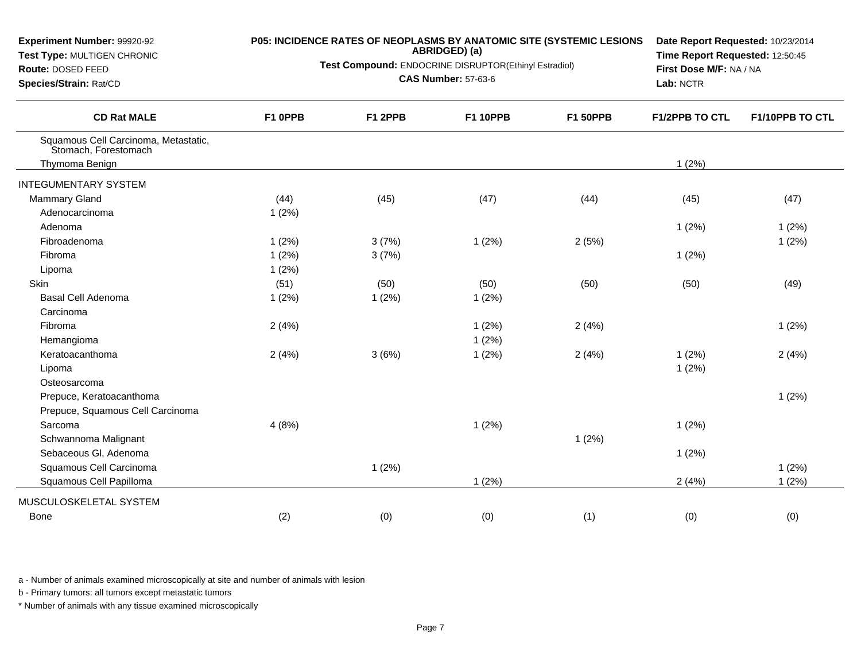| Experiment Number: 99920-92<br>Test Type: MULTIGEN CHRONIC<br>Route: DOSED FEED<br>Species/Strain: Rat/CD |         |         | ABRIDGED) (a)<br>Test Compound: ENDOCRINE DISRUPTOR(Ethinyl Estradiol)<br><b>CAS Number: 57-63-6</b> | P05: INCIDENCE RATES OF NEOPLASMS BY ANATOMIC SITE (SYSTEMIC LESIONS | Date Report Requested: 10/23/2014<br>Time Report Requested: 12:50:45<br>First Dose M/F: NA / NA<br>Lab: NCTR |                 |
|-----------------------------------------------------------------------------------------------------------|---------|---------|------------------------------------------------------------------------------------------------------|----------------------------------------------------------------------|--------------------------------------------------------------------------------------------------------------|-----------------|
| <b>CD Rat MALE</b>                                                                                        | F1 OPPB | F1 2PPB | <b>F1 10PPB</b>                                                                                      | <b>F1 50PPB</b>                                                      | <b>F1/2PPB TO CTL</b>                                                                                        | F1/10PPB TO CTL |
| Squamous Cell Carcinoma, Metastatic,<br>Stomach, Forestomach                                              |         |         |                                                                                                      |                                                                      |                                                                                                              |                 |
| Thymoma Benign                                                                                            |         |         |                                                                                                      |                                                                      | 1(2%)                                                                                                        |                 |
| <b>INTEGUMENTARY SYSTEM</b>                                                                               |         |         |                                                                                                      |                                                                      |                                                                                                              |                 |
| <b>Mammary Gland</b>                                                                                      | (44)    | (45)    | (47)                                                                                                 | (44)                                                                 | (45)                                                                                                         | (47)            |
| Adenocarcinoma                                                                                            | 1(2%)   |         |                                                                                                      |                                                                      |                                                                                                              |                 |
| Adenoma                                                                                                   |         |         |                                                                                                      |                                                                      | 1(2%)                                                                                                        | 1(2%)           |
| Fibroadenoma                                                                                              | 1(2%)   | 3(7%)   | 1(2%)                                                                                                | 2(5%)                                                                |                                                                                                              | 1(2%)           |
| Fibroma                                                                                                   | 1(2%)   | 3(7%)   |                                                                                                      |                                                                      | 1(2%)                                                                                                        |                 |
| Lipoma                                                                                                    | 1(2%)   |         |                                                                                                      |                                                                      |                                                                                                              |                 |
| <b>Skin</b>                                                                                               | (51)    | (50)    | (50)                                                                                                 | (50)                                                                 | (50)                                                                                                         | (49)            |
| Basal Cell Adenoma                                                                                        | 1(2%)   | 1(2%)   | 1(2%)                                                                                                |                                                                      |                                                                                                              |                 |
| Carcinoma                                                                                                 |         |         |                                                                                                      |                                                                      |                                                                                                              |                 |
| Fibroma                                                                                                   | 2(4%)   |         | 1(2%)                                                                                                | 2(4%)                                                                |                                                                                                              | 1(2%)           |
| Hemangioma                                                                                                |         |         | 1(2%)                                                                                                |                                                                      |                                                                                                              |                 |
| Keratoacanthoma                                                                                           | 2(4%)   | 3(6%)   | 1(2%)                                                                                                | 2(4%)                                                                | 1(2%)                                                                                                        | 2(4%)           |
| Lipoma                                                                                                    |         |         |                                                                                                      |                                                                      | 1(2%)                                                                                                        |                 |
| Osteosarcoma                                                                                              |         |         |                                                                                                      |                                                                      |                                                                                                              |                 |
| Prepuce, Keratoacanthoma                                                                                  |         |         |                                                                                                      |                                                                      |                                                                                                              | 1(2%)           |
| Prepuce, Squamous Cell Carcinoma                                                                          |         |         |                                                                                                      |                                                                      |                                                                                                              |                 |
| Sarcoma                                                                                                   | 4(8%)   |         | 1(2%)                                                                                                |                                                                      | 1(2%)                                                                                                        |                 |
| Schwannoma Malignant                                                                                      |         |         |                                                                                                      | 1(2%)                                                                |                                                                                                              |                 |
| Sebaceous Gl, Adenoma                                                                                     |         |         |                                                                                                      |                                                                      | 1(2%)                                                                                                        |                 |
| Squamous Cell Carcinoma                                                                                   |         | 1(2%)   |                                                                                                      |                                                                      |                                                                                                              | 1(2%)           |
| Squamous Cell Papilloma                                                                                   |         |         | 1(2%)                                                                                                |                                                                      | 2(4%)                                                                                                        | 1(2%)           |
| MUSCULOSKELETAL SYSTEM                                                                                    |         |         |                                                                                                      |                                                                      |                                                                                                              |                 |
| Bone                                                                                                      | (2)     | (0)     | (0)                                                                                                  | (1)                                                                  | (0)                                                                                                          | (0)             |

b - Primary tumors: all tumors except metastatic tumors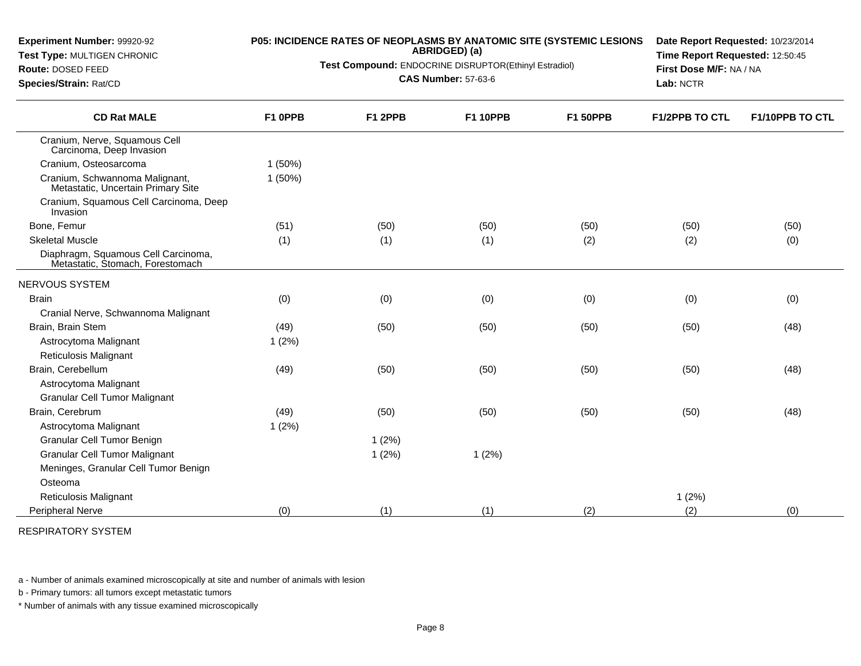**Test Type:** MULTIGEN CHRONIC

**Route:** DOSED FEED**Species/Strain:** Rat/CD

# **P05: INCIDENCE RATES OF NEOPLASMS BY ANATOMIC SITE (SYSTEMIC LESIONS ABRIDGED) (a)**

**Test Compound:** ENDOCRINE DISRUPTOR(Ethinyl Estradiol)

**CAS Number:** 57-63-6

**Date Report Requested:** 10/23/2014**Time Report Requested:** 12:50:45**First Dose M/F:** NA / NA**Lab:** NCTR

| <b>CD Rat MALE</b>                                                      | F1 OPPB   | F1 2PPB | <b>F1 10PPB</b> | <b>F1 50PPB</b> | <b>F1/2PPB TO CTL</b> | F1/10PPB TO CTL |
|-------------------------------------------------------------------------|-----------|---------|-----------------|-----------------|-----------------------|-----------------|
| Cranium, Nerve, Squamous Cell<br>Carcinoma, Deep Invasion               |           |         |                 |                 |                       |                 |
| Cranium, Osteosarcoma                                                   | $1(50\%)$ |         |                 |                 |                       |                 |
| Cranium, Schwannoma Malignant,<br>Metastatic, Uncertain Primary Site    | $1(50\%)$ |         |                 |                 |                       |                 |
| Cranium, Squamous Cell Carcinoma, Deep<br>Invasion                      |           |         |                 |                 |                       |                 |
| Bone, Femur                                                             | (51)      | (50)    | (50)            | (50)            | (50)                  | (50)            |
| <b>Skeletal Muscle</b>                                                  | (1)       | (1)     | (1)             | (2)             | (2)                   | (0)             |
| Diaphragm, Squamous Cell Carcinoma,<br>Metastatic, Stomach, Forestomach |           |         |                 |                 |                       |                 |
| NERVOUS SYSTEM                                                          |           |         |                 |                 |                       |                 |
| <b>Brain</b>                                                            | (0)       | (0)     | (0)             | (0)             | (0)                   | (0)             |
| Cranial Nerve, Schwannoma Malignant                                     |           |         |                 |                 |                       |                 |
| Brain, Brain Stem                                                       | (49)      | (50)    | (50)            | (50)            | (50)                  | (48)            |
| Astrocytoma Malignant                                                   | 1(2%)     |         |                 |                 |                       |                 |
| <b>Reticulosis Malignant</b>                                            |           |         |                 |                 |                       |                 |
| Brain, Cerebellum                                                       | (49)      | (50)    | (50)            | (50)            | (50)                  | (48)            |
| Astrocytoma Malignant                                                   |           |         |                 |                 |                       |                 |
| <b>Granular Cell Tumor Malignant</b>                                    |           |         |                 |                 |                       |                 |
| Brain, Cerebrum                                                         | (49)      | (50)    | (50)            | (50)            | (50)                  | (48)            |
| Astrocytoma Malignant                                                   | 1(2%)     |         |                 |                 |                       |                 |
| Granular Cell Tumor Benign                                              |           | 1(2%)   |                 |                 |                       |                 |
| <b>Granular Cell Tumor Malignant</b>                                    |           | 1(2%)   | 1(2%)           |                 |                       |                 |
| Meninges, Granular Cell Tumor Benign                                    |           |         |                 |                 |                       |                 |
| Osteoma                                                                 |           |         |                 |                 |                       |                 |
| Reticulosis Malignant                                                   |           |         |                 |                 | 1(2%)                 |                 |
| Peripheral Nerve                                                        | (0)       | (1)     | (1)             | (2)             | (2)                   | (0)             |

RESPIRATORY SYSTEM

a - Number of animals examined microscopically at site and number of animals with lesion

b - Primary tumors: all tumors except metastatic tumors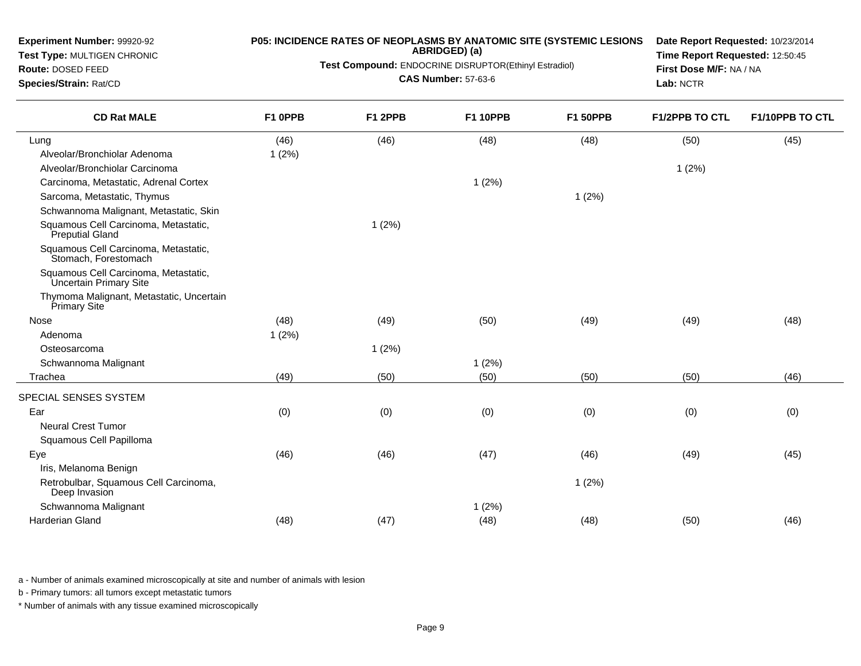**Test Type:** MULTIGEN CHRONIC**Route:** DOSED FEED **Species/Strain:** Rat/CD**ABRIDGED) (a)Test Compound:** ENDOCRINE DISRUPTOR(Ethinyl Estradiol)**CAS Number:** 57-63-6**Time Report Requested:** 12:50:45**First Dose M/F:** NA / NA**Lab:** NCTR**CD Rat MALE F1 0PPB F1 2PPB F1 10PPB F1 50PPB F1/2PPB TO CTL F1/10PPB TO CTL** Lungg (46) (46) (46) (46) (48) (48) (48) (48) (50) (50) (45) Alveolar/Bronchiolar Adenoma 1 (2%) Alveolar/Bronchiolar Carcinomaa and  $1(2\%)$ Carcinoma, Metastatic, Adrenal Cortex $x$  and  $(2\%)$ Sarcoma, Metastatic, Thymuss and  $1(2\%)$ Schwannoma Malignant, Metastatic, SkinSquamous Cell Carcinoma, Metastatic,Preputial Gland Squamous Cell Carcinoma, Metastatic,1 (2%)Stomach, Forestomach Squamous Cell Carcinoma, Metastatic,Uncertain Primary Site Thymoma Malignant, Metastatic, UncertainPrimary Site Nosee (48) (48) (49) (50) (59) (49) (49) (48) (48) Adenomaa and  $1 (2\%)$ **Osteosarcoma** a and  $1 (2\%)$ Schwannoma Malignantt the contract of  $1 (2\%)$ Trachea (49) (50) (50) (50) (50) (46) SPECIAL SENSES SYSTEMEar (0) (0) (0) (0) (0) (0) Neural Crest TumorSquamous Cell PapillomaEyee (46) (46) (46) (46) (47) (46) (46) (48) (49) (49) (45) Iris, Melanoma Benign

**P05: INCIDENCE RATES OF NEOPLASMS BY ANATOMIC SITE (SYSTEMIC LESIONS**

**Date Report Requested:** 10/23/2014

 Retrobulbar, Squamous Cell Carcinoma,Deep Invasion Schwannoma Malignant1 (2%)t the contract of  $1 (2\%)$ Harderian Glandd (48) (48) (47) (48) (48) (48) (48) (50) (50) (46)

a - Number of animals examined microscopically at site and number of animals with lesion

b - Primary tumors: all tumors except metastatic tumors

**Experiment Number:** 99920-92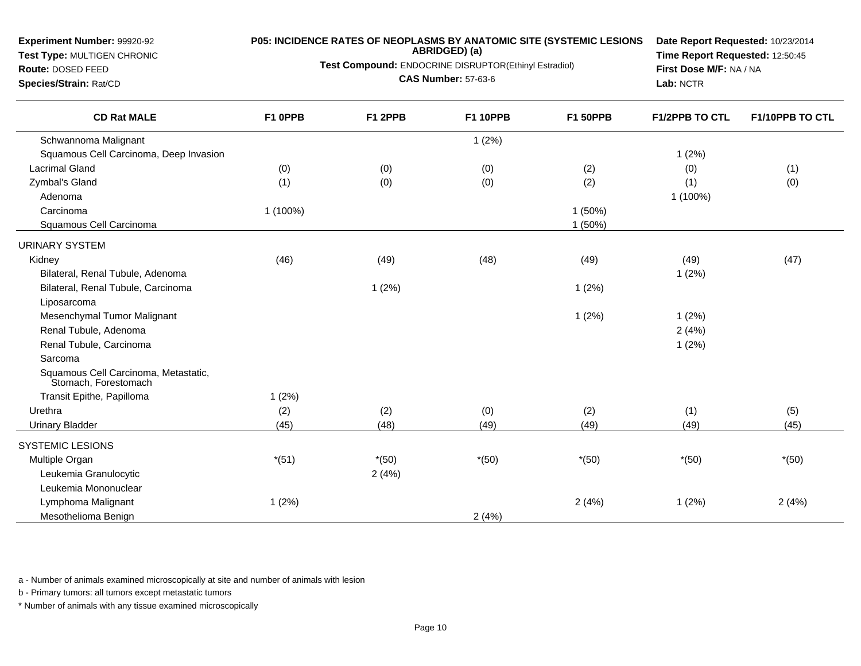### **Test Type:** MULTIGEN CHRONIC

#### **Route:** DOSED FEED

**Species/Strain:** Rat/CD

#### **P05: INCIDENCE RATES OF NEOPLASMS BY ANATOMIC SITE (SYSTEMIC LESIONSABRIDGED) (a)**

**Test Compound:** ENDOCRINE DISRUPTOR(Ethinyl Estradiol)

**CAS Number:** 57-63-6

**Date Report Requested:** 10/23/2014**Time Report Requested:** 12:50:45**First Dose M/F:** NA / NA**Lab:** NCTR

| <b>CD Rat MALE</b>                                           | F1 OPPB  | F1 2PPB | <b>F1 10PPB</b> | <b>F1 50PPB</b> | <b>F1/2PPB TO CTL</b> | F1/10PPB TO CTL |
|--------------------------------------------------------------|----------|---------|-----------------|-----------------|-----------------------|-----------------|
| Schwannoma Malignant                                         |          |         | 1(2%)           |                 |                       |                 |
| Squamous Cell Carcinoma, Deep Invasion                       |          |         |                 |                 | 1(2%)                 |                 |
| <b>Lacrimal Gland</b>                                        | (0)      | (0)     | (0)             | (2)             | (0)                   | (1)             |
| Zymbal's Gland                                               | (1)      | (0)     | (0)             | (2)             | (1)                   | (0)             |
| Adenoma                                                      |          |         |                 |                 | 1 (100%)              |                 |
| Carcinoma                                                    | 1 (100%) |         |                 | 1(50%)          |                       |                 |
| Squamous Cell Carcinoma                                      |          |         |                 | 1 (50%)         |                       |                 |
| <b>URINARY SYSTEM</b>                                        |          |         |                 |                 |                       |                 |
| Kidney                                                       | (46)     | (49)    | (48)            | (49)            | (49)                  | (47)            |
| Bilateral, Renal Tubule, Adenoma                             |          |         |                 |                 | 1(2%)                 |                 |
| Bilateral, Renal Tubule, Carcinoma                           |          | 1(2%)   |                 | 1(2%)           |                       |                 |
| Liposarcoma                                                  |          |         |                 |                 |                       |                 |
| Mesenchymal Tumor Malignant                                  |          |         |                 | 1(2%)           | 1(2%)                 |                 |
| Renal Tubule, Adenoma                                        |          |         |                 |                 | 2(4%)                 |                 |
| Renal Tubule, Carcinoma                                      |          |         |                 |                 | 1(2%)                 |                 |
| Sarcoma                                                      |          |         |                 |                 |                       |                 |
| Squamous Cell Carcinoma, Metastatic,<br>Stomach, Forestomach |          |         |                 |                 |                       |                 |
| Transit Epithe, Papilloma                                    | 1(2%)    |         |                 |                 |                       |                 |
| Urethra                                                      | (2)      | (2)     | (0)             | (2)             | (1)                   | (5)             |
| <b>Urinary Bladder</b>                                       | (45)     | (48)    | (49)            | (49)            | (49)                  | (45)            |
| <b>SYSTEMIC LESIONS</b>                                      |          |         |                 |                 |                       |                 |
| Multiple Organ                                               | $*(51)$  | $*(50)$ | $*(50)$         | $*(50)$         | $*(50)$               | $*(50)$         |
| Leukemia Granulocytic                                        |          | 2(4%)   |                 |                 |                       |                 |
| Leukemia Mononuclear                                         |          |         |                 |                 |                       |                 |
| Lymphoma Malignant                                           | 1(2%)    |         |                 | 2(4%)           | 1(2%)                 | 2(4%)           |
| Mesothelioma Benign                                          |          |         | 2(4%)           |                 |                       |                 |

a - Number of animals examined microscopically at site and number of animals with lesion

b - Primary tumors: all tumors except metastatic tumors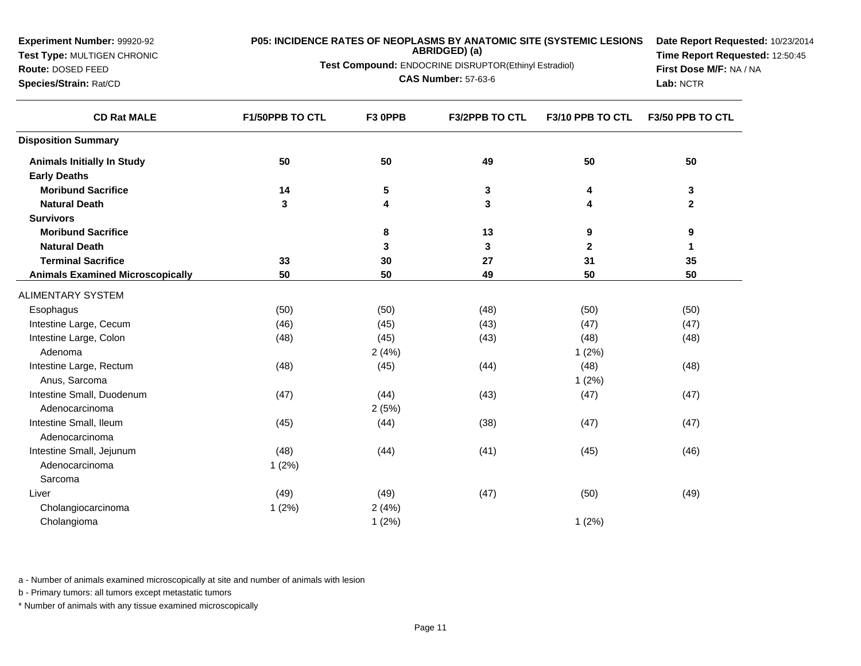**Experiment Number:** 99920-92**Test Type:** MULTIGEN CHRONIC**Route:** DOSED FEED **Species/Strain:** Rat/CD**P05: INCIDENCE RATES OF NEOPLASMS BY ANATOMIC SITE (SYSTEMIC LESIONSABRIDGED) (a)Test Compound:** ENDOCRINE DISRUPTOR(Ethinyl Estradiol)**CAS Number:** 57-63-6**Date Report Requested:** 10/23/2014**Time Report Requested:** 12:50:45**First Dose M/F:** NA / NA**Lab:** NCTR**CD Rat MALE F1/50PPB TO CTL F3 0PPB F3/2PPB TO CTL F3/10 PPB TO CTL F3/50 PPB TO CTL Disposition SummaryAnimals Initially In Study <sup>50</sup> <sup>50</sup> <sup>49</sup> <sup>50</sup> <sup>50</sup> Early Deaths Moribund Sacrifice <sup>14</sup> <sup>5</sup> <sup>3</sup> <sup>4</sup> <sup>3</sup> Natural Death <sup>3</sup> <sup>4</sup> <sup>3</sup> <sup>4</sup> <sup>2</sup> Survivors Moribund Sacrifice <sup>8</sup> <sup>13</sup> <sup>9</sup> <sup>9</sup> Natural Death <sup>3</sup> <sup>3</sup> <sup>2</sup> <sup>1</sup> Terminal Sacrifice <sup>33</sup> <sup>30</sup> <sup>27</sup> <sup>31</sup> <sup>35</sup> Animals Examined Microscopically <sup>50</sup> <sup>50</sup> <sup>49</sup> <sup>50</sup> <sup>50</sup>** ALIMENTARY SYSTEM**Esophagus** s (50) (50) (50) (50) (48) (50) (50) (50) Intestine Large, Cecumm (46) (45) (45) (47) (47) (47) (47) Intestine Large, Colonn (48) (48) (45) (45) (43) (48) (48) (48) Adenomaa  $2(4%)$  1 (2%) Intestine Large, Rectumm (48) (48) (45) (45) (44) (48) (48) (48) Anus, Sarcomaa and  $1(2\%)$ Intestine Small, Duodenumm (47) (47) (44) (43) (47) (47) (47) Adenocarcinomaa  $2(5%)$ Intestine Small, Ileumm (45) (46) (44) (38) (47) (47) (47) Adenocarcinoma Intestine Small, Jejunum (48) (44) (41) (45) (46) Adenocarcinoma 1 (2%) SarcomaLiver (49) (49) (47) (50) (49) Cholangiocarcinomaa 2 (4%) 1 (2%) 2 (4%) Cholangiomaa and  $1 (2\%)$  1 (2%)

a - Number of animals examined microscopically at site and number of animals with lesion

b - Primary tumors: all tumors except metastatic tumors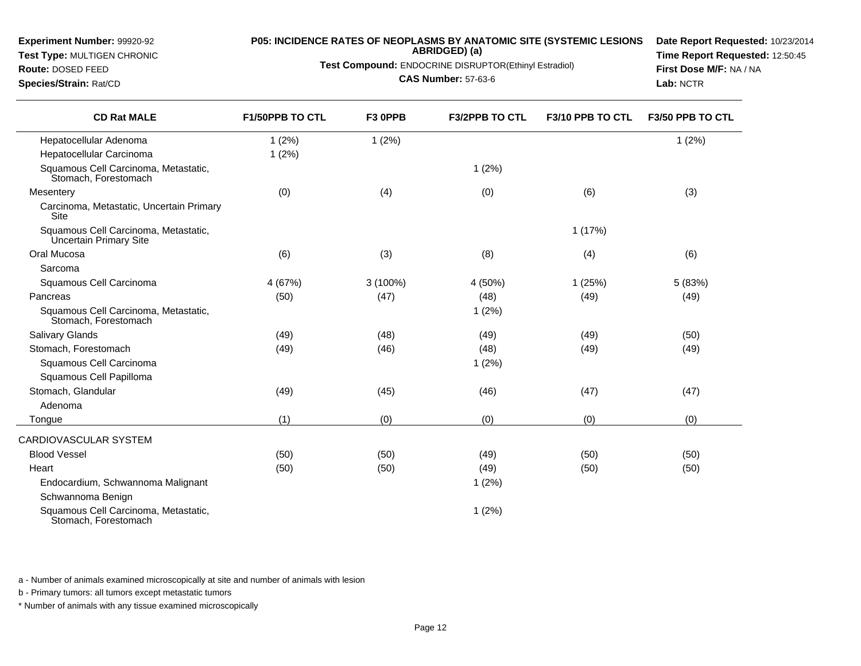#### **Test Type:** MULTIGEN CHRONIC

**Route:** DOSED FEED**Species/Strain:** Rat/CD

# **P05: INCIDENCE RATES OF NEOPLASMS BY ANATOMIC SITE (SYSTEMIC LESIONS ABRIDGED) (a)**

**Test Compound:** ENDOCRINE DISRUPTOR(Ethinyl Estradiol)

#### **CAS Number:** 57-63-6

**Date Report Requested:** 10/23/2014**Time Report Requested:** 12:50:45**First Dose M/F:** NA / NA**Lab:** NCTR

| <b>CD Rat MALE</b>                                             | <b>F1/50PPB TO CTL</b> | F3 OPPB    | <b>F3/2PPB TO CTL</b> | F3/10 PPB TO CTL | F3/50 PPB TO CTL |
|----------------------------------------------------------------|------------------------|------------|-----------------------|------------------|------------------|
| Hepatocellular Adenoma                                         | 1(2%)                  | 1(2%)      |                       |                  | 1(2%)            |
| Hepatocellular Carcinoma                                       | 1(2%)                  |            |                       |                  |                  |
| Squamous Cell Carcinoma, Metastatic,<br>Stomach, Forestomach   |                        |            | 1(2%)                 |                  |                  |
| Mesentery                                                      | (0)                    | (4)        | (0)                   | (6)              | (3)              |
| Carcinoma, Metastatic, Uncertain Primary<br>Site               |                        |            |                       |                  |                  |
| Squamous Cell Carcinoma, Metastatic,<br>Uncertain Primary Site |                        |            |                       | 1(17%)           |                  |
| Oral Mucosa                                                    | (6)                    | (3)        | (8)                   | (4)              | (6)              |
| Sarcoma                                                        |                        |            |                       |                  |                  |
| Squamous Cell Carcinoma                                        | 4 (67%)                | $3(100\%)$ | 4 (50%)               | 1(25%)           | 5(83%)           |
| Pancreas                                                       | (50)                   | (47)       | (48)                  | (49)             | (49)             |
| Squamous Cell Carcinoma, Metastatic,<br>Stomach, Forestomach   |                        |            | 1(2%)                 |                  |                  |
| Salivary Glands                                                | (49)                   | (48)       | (49)                  | (49)             | (50)             |
| Stomach, Forestomach                                           | (49)                   | (46)       | (48)                  | (49)             | (49)             |
| Squamous Cell Carcinoma                                        |                        |            | 1(2%)                 |                  |                  |
| Squamous Cell Papilloma                                        |                        |            |                       |                  |                  |
| Stomach, Glandular                                             | (49)                   | (45)       | (46)                  | (47)             | (47)             |
| Adenoma                                                        |                        |            |                       |                  |                  |
| Tongue                                                         | (1)                    | (0)        | (0)                   | (0)              | (0)              |
| CARDIOVASCULAR SYSTEM                                          |                        |            |                       |                  |                  |
| <b>Blood Vessel</b>                                            | (50)                   | (50)       | (49)                  | (50)             | (50)             |
| Heart                                                          | (50)                   | (50)       | (49)                  | (50)             | (50)             |
| Endocardium, Schwannoma Malignant                              |                        |            | 1(2%)                 |                  |                  |
| Schwannoma Benign                                              |                        |            |                       |                  |                  |
| Squamous Cell Carcinoma, Metastatic,<br>Stomach, Forestomach   |                        |            | 1(2%)                 |                  |                  |

a - Number of animals examined microscopically at site and number of animals with lesion

b - Primary tumors: all tumors except metastatic tumors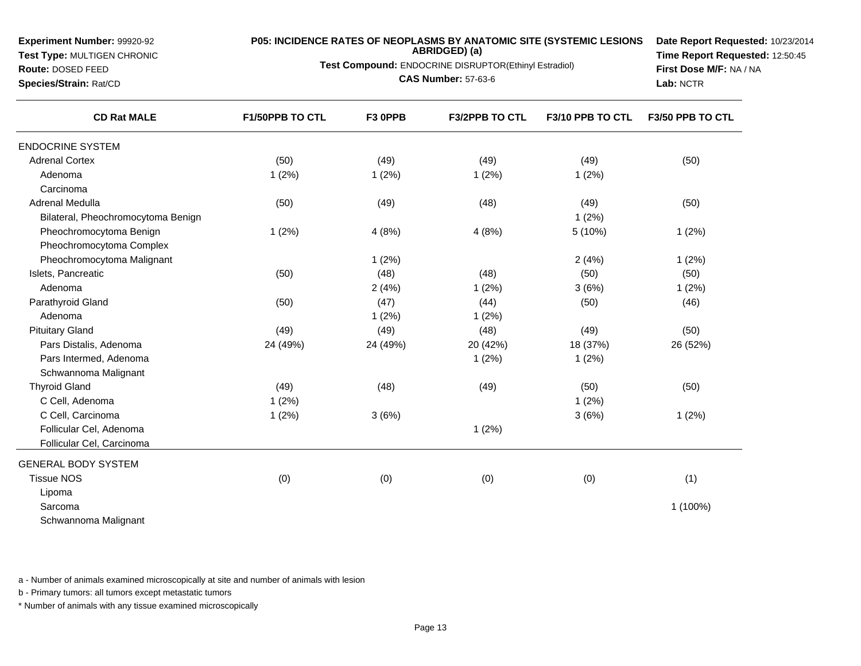**Test Type:** MULTIGEN CHRONIC**Route:** DOSED FEED

**Species/Strain:** Rat/CD

# **P05: INCIDENCE RATES OF NEOPLASMS BY ANATOMIC SITE (SYSTEMIC LESIONS ABRIDGED) (a)**

**Test Compound:** ENDOCRINE DISRUPTOR(Ethinyl Estradiol)

**CAS Number:** 57-63-6

**Date Report Requested:** 10/23/2014**Time Report Requested:** 12:50:45**First Dose M/F:** NA / NA**Lab:** NCTR

| <b>CD Rat MALE</b>                 | <b>F1/50PPB TO CTL</b> | F3 OPPB  | <b>F3/2PPB TO CTL</b> | F3/10 PPB TO CTL | F3/50 PPB TO CTL |
|------------------------------------|------------------------|----------|-----------------------|------------------|------------------|
| <b>ENDOCRINE SYSTEM</b>            |                        |          |                       |                  |                  |
| <b>Adrenal Cortex</b>              | (50)                   | (49)     | (49)                  | (49)             | (50)             |
| Adenoma                            | 1(2%)                  | 1(2%)    | 1(2%)                 | 1(2%)            |                  |
| Carcinoma                          |                        |          |                       |                  |                  |
| <b>Adrenal Medulla</b>             | (50)                   | (49)     | (48)                  | (49)             | (50)             |
| Bilateral, Pheochromocytoma Benign |                        |          |                       | 1(2%)            |                  |
| Pheochromocytoma Benign            | 1(2%)                  | 4(8%)    | 4(8%)                 | 5 (10%)          | 1(2%)            |
| Pheochromocytoma Complex           |                        |          |                       |                  |                  |
| Pheochromocytoma Malignant         |                        | 1(2%)    |                       | 2(4%)            | 1(2%)            |
| Islets, Pancreatic                 | (50)                   | (48)     | (48)                  | (50)             | (50)             |
| Adenoma                            |                        | 2(4%)    | 1(2%)                 | 3(6%)            | 1(2%)            |
| Parathyroid Gland                  | (50)                   | (47)     | (44)                  | (50)             | (46)             |
| Adenoma                            |                        | 1(2%)    | 1(2%)                 |                  |                  |
| <b>Pituitary Gland</b>             | (49)                   | (49)     | (48)                  | (49)             | (50)             |
| Pars Distalis, Adenoma             | 24 (49%)               | 24 (49%) | 20 (42%)              | 18 (37%)         | 26 (52%)         |
| Pars Intermed, Adenoma             |                        |          | 1(2%)                 | 1(2%)            |                  |
| Schwannoma Malignant               |                        |          |                       |                  |                  |
| <b>Thyroid Gland</b>               | (49)                   | (48)     | (49)                  | (50)             | (50)             |
| C Cell, Adenoma                    | 1(2%)                  |          |                       | 1(2%)            |                  |
| C Cell, Carcinoma                  | 1(2%)                  | 3(6%)    |                       | 3(6%)            | 1(2%)            |
| Follicular Cel, Adenoma            |                        |          | 1(2%)                 |                  |                  |
| Follicular Cel, Carcinoma          |                        |          |                       |                  |                  |
| <b>GENERAL BODY SYSTEM</b>         |                        |          |                       |                  |                  |
| <b>Tissue NOS</b>                  | (0)                    | (0)      | (0)                   | (0)              | (1)              |
| Lipoma                             |                        |          |                       |                  |                  |
| Sarcoma                            |                        |          |                       |                  | 1 (100%)         |
| Schwannoma Malignant               |                        |          |                       |                  |                  |

a - Number of animals examined microscopically at site and number of animals with lesion

b - Primary tumors: all tumors except metastatic tumors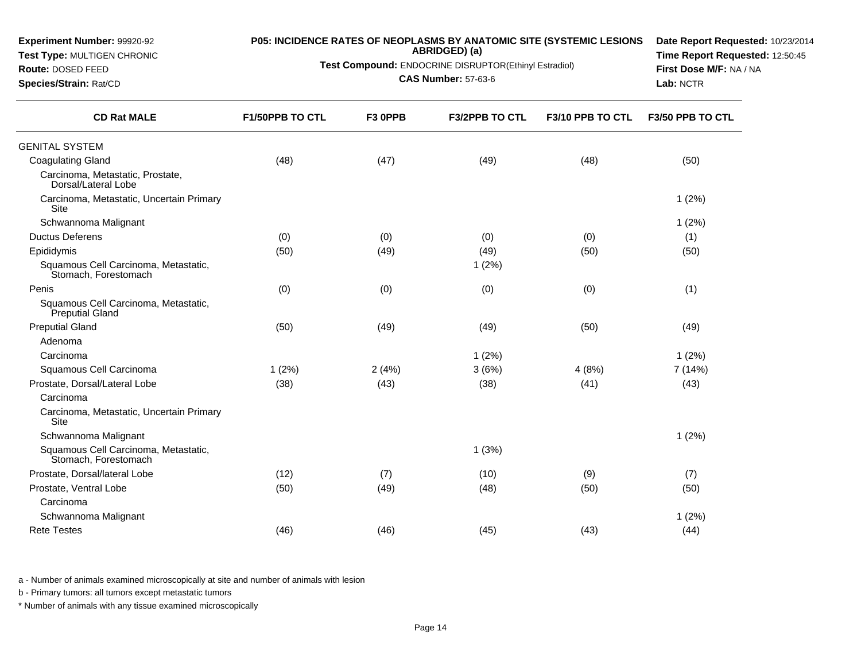| <b>Experiment Number: 99920-92</b><br>Test Type: MULTIGEN CHRONIC<br>Route: DOSED FEED<br>Species/Strain: Rat/CD | <b>P05: INCIDENCE RATES OF NEOPLASMS BY ANATOMIC SITE (SYSTEMIC LESIONS</b><br>Test Compound: ENDOCRINE DISRUPTOR(Ethinyl Estradiol) | Date Report Requested: 10/23/2014<br>Time Report Requested: 12:50:45<br>First Dose M/F: NA / NA<br>Lab: NCTR |                       |                  |                  |
|------------------------------------------------------------------------------------------------------------------|--------------------------------------------------------------------------------------------------------------------------------------|--------------------------------------------------------------------------------------------------------------|-----------------------|------------------|------------------|
| <b>CD Rat MALE</b>                                                                                               | F1/50PPB TO CTL                                                                                                                      | F3 OPPB                                                                                                      | <b>F3/2PPB TO CTL</b> | F3/10 PPB TO CTL | F3/50 PPB TO CTL |
| <b>GENITAL SYSTEM</b>                                                                                            |                                                                                                                                      |                                                                                                              |                       |                  |                  |
| <b>Coagulating Gland</b>                                                                                         | (48)                                                                                                                                 | (47)                                                                                                         | (49)                  | (48)             | (50)             |
| Carcinoma, Metastatic, Prostate,<br>Dorsal/Lateral Lobe                                                          |                                                                                                                                      |                                                                                                              |                       |                  |                  |
| Carcinoma, Metastatic, Uncertain Primary<br>Site                                                                 |                                                                                                                                      |                                                                                                              |                       |                  | 1(2%)            |
| Schwannoma Malignant                                                                                             |                                                                                                                                      |                                                                                                              |                       |                  | 1(2%)            |
| <b>Ductus Deferens</b>                                                                                           | (0)                                                                                                                                  | (0)                                                                                                          | (0)                   | (0)              | (1)              |
| Epididymis                                                                                                       | (50)                                                                                                                                 | (49)                                                                                                         | (49)                  | (50)             | (50)             |
| Squamous Cell Carcinoma, Metastatic,<br>Stomach, Forestomach                                                     |                                                                                                                                      |                                                                                                              | 1(2%)                 |                  |                  |
| Penis                                                                                                            | (0)                                                                                                                                  | (0)                                                                                                          | (0)                   | (0)              | (1)              |
| Squamous Cell Carcinoma, Metastatic,<br>Preputial Gland                                                          |                                                                                                                                      |                                                                                                              |                       |                  |                  |
| <b>Preputial Gland</b>                                                                                           | (50)                                                                                                                                 | (49)                                                                                                         | (49)                  | (50)             | (49)             |
| Adenoma                                                                                                          |                                                                                                                                      |                                                                                                              |                       |                  |                  |
| Carcinoma                                                                                                        |                                                                                                                                      |                                                                                                              | 1(2%)                 |                  | 1(2%)            |
| Squamous Cell Carcinoma                                                                                          | 1(2%)                                                                                                                                | 2(4%)                                                                                                        | 3(6%)                 | 4(8%)            | 7 (14%)          |
| Prostate, Dorsal/Lateral Lobe                                                                                    | (38)                                                                                                                                 | (43)                                                                                                         | (38)                  | (41)             | (43)             |
| Carcinoma                                                                                                        |                                                                                                                                      |                                                                                                              |                       |                  |                  |
| Carcinoma, Metastatic, Uncertain Primary<br><b>Site</b>                                                          |                                                                                                                                      |                                                                                                              |                       |                  |                  |
| Schwannoma Malignant                                                                                             |                                                                                                                                      |                                                                                                              |                       |                  | 1(2%)            |
| Squamous Cell Carcinoma, Metastatic,<br>Stomach, Forestomach                                                     |                                                                                                                                      |                                                                                                              | 1(3%)                 |                  |                  |
| Prostate, Dorsal/lateral Lobe                                                                                    | (12)                                                                                                                                 | (7)                                                                                                          | (10)                  | (9)              | (7)              |
| Prostate, Ventral Lobe                                                                                           | (50)                                                                                                                                 | (49)                                                                                                         | (48)                  | (50)             | (50)             |
| Carcinoma                                                                                                        |                                                                                                                                      |                                                                                                              |                       |                  |                  |
| Schwannoma Malignant                                                                                             |                                                                                                                                      |                                                                                                              |                       |                  | 1(2%)            |
| <b>Rete Testes</b>                                                                                               | (46)                                                                                                                                 | (46)                                                                                                         | (45)                  | (43)             | (44)             |
|                                                                                                                  |                                                                                                                                      |                                                                                                              |                       |                  |                  |

b - Primary tumors: all tumors except metastatic tumors

**Experiment Number:** 99920-92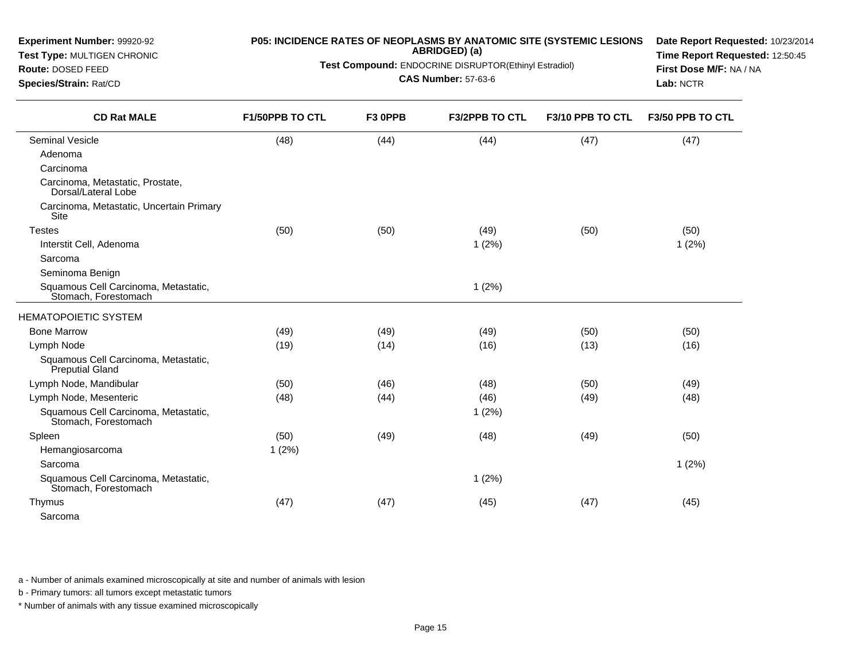| <b>Experiment Number: 99920-92</b><br>Test Type: MULTIGEN CHRONIC<br>Route: DOSED FEED<br>Species/Strain: Rat/CD | P05: INCIDENCE RATES OF NEOPLASMS BY ANATOMIC SITE (SYSTEMIC LESIONS<br>Test Compound: ENDOCRINE DISRUPTOR(Ethinyl Estradiol) | Date Report Requested: 10/23/2014<br>Time Report Requested: 12:50:45<br>First Dose M/F: NA / NA<br>Lab: NCTR |                       |                  |                  |
|------------------------------------------------------------------------------------------------------------------|-------------------------------------------------------------------------------------------------------------------------------|--------------------------------------------------------------------------------------------------------------|-----------------------|------------------|------------------|
| <b>CD Rat MALE</b>                                                                                               | F1/50PPB TO CTL                                                                                                               | F3 0PPB                                                                                                      | <b>F3/2PPB TO CTL</b> | F3/10 PPB TO CTL | F3/50 PPB TO CTL |
| Seminal Vesicle                                                                                                  | (48)                                                                                                                          | (44)                                                                                                         | (44)                  | (47)             | (47)             |
| Adenoma                                                                                                          |                                                                                                                               |                                                                                                              |                       |                  |                  |
| Carcinoma                                                                                                        |                                                                                                                               |                                                                                                              |                       |                  |                  |
| Carcinoma, Metastatic, Prostate,<br>Dorsal/Lateral Lobe                                                          |                                                                                                                               |                                                                                                              |                       |                  |                  |
| Carcinoma, Metastatic, Uncertain Primary<br><b>Site</b>                                                          |                                                                                                                               |                                                                                                              |                       |                  |                  |
| <b>Testes</b>                                                                                                    | (50)                                                                                                                          | (50)                                                                                                         | (49)                  | (50)             | (50)             |
| Interstit Cell, Adenoma                                                                                          |                                                                                                                               |                                                                                                              | 1(2%)                 |                  | 1(2%)            |
| Sarcoma                                                                                                          |                                                                                                                               |                                                                                                              |                       |                  |                  |
| Seminoma Benign                                                                                                  |                                                                                                                               |                                                                                                              |                       |                  |                  |
| Squamous Cell Carcinoma, Metastatic,<br>Stomach, Forestomach                                                     |                                                                                                                               |                                                                                                              | 1(2%)                 |                  |                  |
| <b>HEMATOPOIETIC SYSTEM</b>                                                                                      |                                                                                                                               |                                                                                                              |                       |                  |                  |
| <b>Bone Marrow</b>                                                                                               | (49)                                                                                                                          | (49)                                                                                                         | (49)                  | (50)             | (50)             |
| Lymph Node                                                                                                       | (19)                                                                                                                          | (14)                                                                                                         | (16)                  | (13)             | (16)             |
| Squamous Cell Carcinoma, Metastatic,<br>Preputial Gland                                                          |                                                                                                                               |                                                                                                              |                       |                  |                  |
| Lymph Node, Mandibular                                                                                           | (50)                                                                                                                          | (46)                                                                                                         | (48)                  | (50)             | (49)             |
| Lymph Node, Mesenteric                                                                                           | (48)                                                                                                                          | (44)                                                                                                         | (46)                  | (49)             | (48)             |
| Squamous Cell Carcinoma, Metastatic,<br>Stomach, Forestomach                                                     |                                                                                                                               |                                                                                                              | 1(2%)                 |                  |                  |
| Spleen                                                                                                           | (50)                                                                                                                          | (49)                                                                                                         | (48)                  | (49)             | (50)             |
| Hemangiosarcoma                                                                                                  | 1(2%)                                                                                                                         |                                                                                                              |                       |                  |                  |
| Sarcoma                                                                                                          |                                                                                                                               |                                                                                                              |                       |                  | 1(2%)            |
| Squamous Cell Carcinoma, Metastatic,<br>Stomach, Forestomach                                                     |                                                                                                                               |                                                                                                              | 1(2%)                 |                  |                  |
| Thymus                                                                                                           | (47)                                                                                                                          | (47)                                                                                                         | (45)                  | (47)             | (45)             |
| Sarcoma                                                                                                          |                                                                                                                               |                                                                                                              |                       |                  |                  |

b - Primary tumors: all tumors except metastatic tumors

**Experiment Number:** 99920-92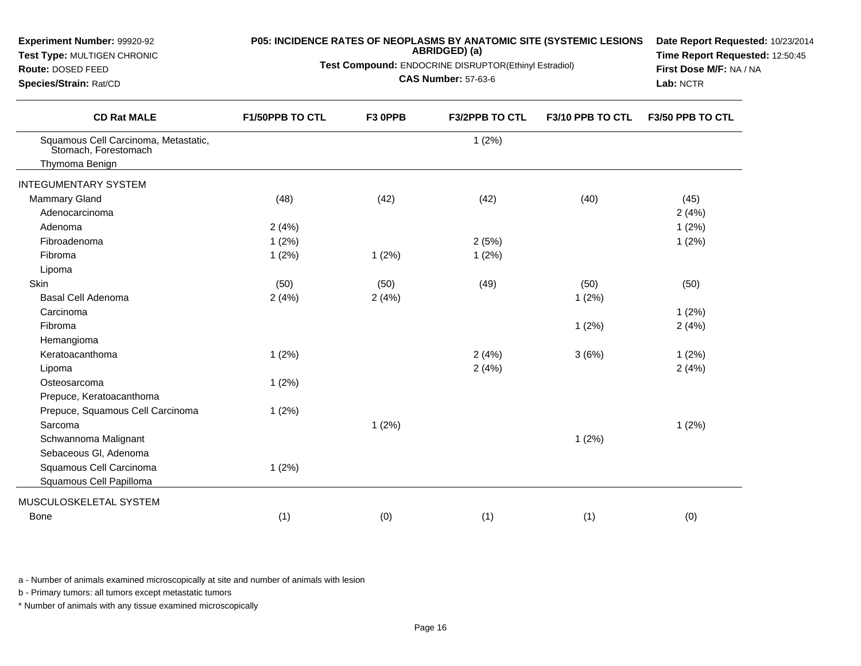| Experiment Number: 99920-92<br>Test Type: MULTIGEN CHRONIC<br>Route: DOSED FEED |                 |         | P05: INCIDENCE RATES OF NEOPLASMS BY ANATOMIC SITE (SYSTEMIC LESIONS<br>ABRIDGED) (a)<br>Test Compound: ENDOCRINE DISRUPTOR(Ethinyl Estradiol)<br><b>CAS Number: 57-63-6</b> |                  | Date Report Requested: 10/23/2014<br>Time Report Requested: 12:50:45<br>First Dose M/F: NA / NA |  |
|---------------------------------------------------------------------------------|-----------------|---------|------------------------------------------------------------------------------------------------------------------------------------------------------------------------------|------------------|-------------------------------------------------------------------------------------------------|--|
| Species/Strain: Rat/CD                                                          |                 |         |                                                                                                                                                                              |                  | Lab: NCTR                                                                                       |  |
| <b>CD Rat MALE</b>                                                              | F1/50PPB TO CTL | F3 OPPB | <b>F3/2PPB TO CTL</b>                                                                                                                                                        | F3/10 PPB TO CTL | F3/50 PPB TO CTL                                                                                |  |
| Squamous Cell Carcinoma, Metastatic,<br>Stomach, Forestomach                    |                 |         | 1(2%)                                                                                                                                                                        |                  |                                                                                                 |  |
| Thymoma Benign                                                                  |                 |         |                                                                                                                                                                              |                  |                                                                                                 |  |
| <b>INTEGUMENTARY SYSTEM</b>                                                     |                 |         |                                                                                                                                                                              |                  |                                                                                                 |  |
| <b>Mammary Gland</b>                                                            | (48)            | (42)    | (42)                                                                                                                                                                         | (40)             | (45)                                                                                            |  |
| Adenocarcinoma                                                                  |                 |         |                                                                                                                                                                              |                  | 2(4%)                                                                                           |  |
| Adenoma                                                                         | 2(4%)           |         |                                                                                                                                                                              |                  | 1(2%)                                                                                           |  |
| Fibroadenoma                                                                    | 1(2%)           |         | 2(5%)                                                                                                                                                                        |                  | 1(2%)                                                                                           |  |
| Fibroma                                                                         | 1(2%)           | 1(2%)   | 1(2%)                                                                                                                                                                        |                  |                                                                                                 |  |
| Lipoma                                                                          |                 |         |                                                                                                                                                                              |                  |                                                                                                 |  |
| Skin                                                                            | (50)            | (50)    | (49)                                                                                                                                                                         | (50)             | (50)                                                                                            |  |
| Basal Cell Adenoma                                                              | 2(4%)           | 2(4%)   |                                                                                                                                                                              | 1(2%)            |                                                                                                 |  |
| Carcinoma                                                                       |                 |         |                                                                                                                                                                              |                  | 1(2%)                                                                                           |  |
| Fibroma                                                                         |                 |         |                                                                                                                                                                              | 1(2%)            | 2(4%)                                                                                           |  |
| Hemangioma                                                                      |                 |         |                                                                                                                                                                              |                  |                                                                                                 |  |
| Keratoacanthoma                                                                 | 1(2%)           |         | 2(4%)                                                                                                                                                                        | 3(6%)            | 1(2%)                                                                                           |  |
| Lipoma                                                                          |                 |         | 2(4%)                                                                                                                                                                        |                  | 2(4%)                                                                                           |  |
| Osteosarcoma                                                                    | 1(2%)           |         |                                                                                                                                                                              |                  |                                                                                                 |  |
| Prepuce, Keratoacanthoma                                                        |                 |         |                                                                                                                                                                              |                  |                                                                                                 |  |
| Prepuce, Squamous Cell Carcinoma                                                | 1(2%)           |         |                                                                                                                                                                              |                  |                                                                                                 |  |
| Sarcoma                                                                         |                 | 1(2%)   |                                                                                                                                                                              |                  | 1(2%)                                                                                           |  |
| Schwannoma Malignant                                                            |                 |         |                                                                                                                                                                              | 1(2%)            |                                                                                                 |  |
| Sebaceous Gl, Adenoma                                                           |                 |         |                                                                                                                                                                              |                  |                                                                                                 |  |
| Squamous Cell Carcinoma                                                         | 1(2%)           |         |                                                                                                                                                                              |                  |                                                                                                 |  |
| Squamous Cell Papilloma                                                         |                 |         |                                                                                                                                                                              |                  |                                                                                                 |  |
| MUSCULOSKELETAL SYSTEM                                                          |                 |         |                                                                                                                                                                              |                  |                                                                                                 |  |
| Bone                                                                            | (1)             | (0)     | (1)                                                                                                                                                                          | (1)              | (0)                                                                                             |  |

b - Primary tumors: all tumors except metastatic tumors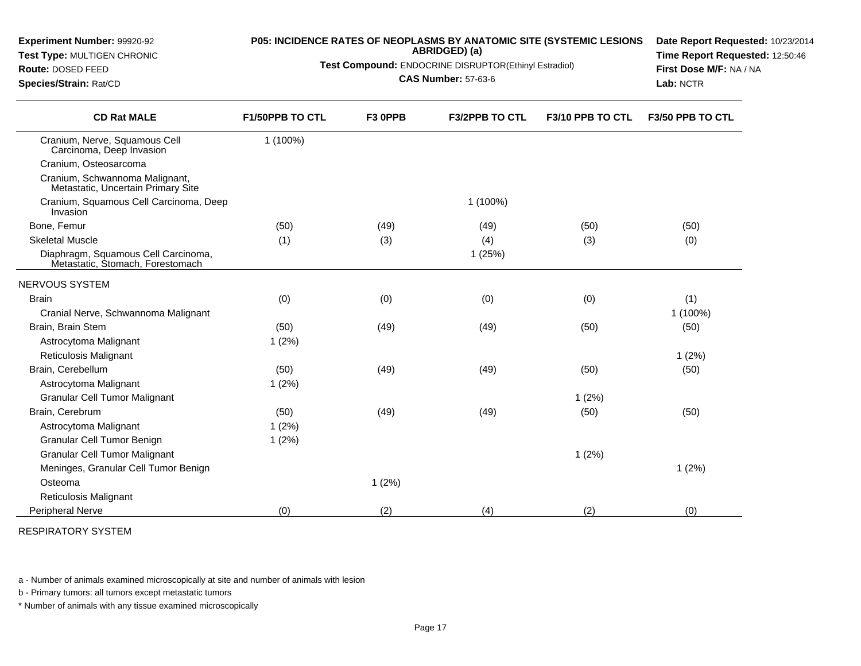| Route: DOSED FEED<br>Species/Strain: Rat/CD                             | <b>Test Compound:</b> ENDOCRINE DISRUPTOR(Ethinyl Estradiol) | First Dose M/F: NA / NA<br>Lab: NCTR |                       |                  |                  |
|-------------------------------------------------------------------------|--------------------------------------------------------------|--------------------------------------|-----------------------|------------------|------------------|
| <b>CD Rat MALE</b>                                                      | F1/50PPB TO CTL                                              | F3 OPPB                              | <b>F3/2PPB TO CTL</b> | F3/10 PPB TO CTL | F3/50 PPB TO CTL |
| Cranium, Nerve, Squamous Cell<br>Carcinoma, Deep Invasion               | 1 (100%)                                                     |                                      |                       |                  |                  |
| Cranium, Osteosarcoma                                                   |                                                              |                                      |                       |                  |                  |
| Cranium, Schwannoma Malignant,<br>Metastatic, Uncertain Primary Site    |                                                              |                                      |                       |                  |                  |
| Cranium, Squamous Cell Carcinoma, Deep<br>Invasion                      |                                                              |                                      | 1 (100%)              |                  |                  |
| Bone, Femur                                                             | (50)                                                         | (49)                                 | (49)                  | (50)             | (50)             |
| <b>Skeletal Muscle</b>                                                  | (1)                                                          | (3)                                  | (4)                   | (3)              | (0)              |
| Diaphragm, Squamous Cell Carcinoma,<br>Metastatic, Stomach, Forestomach |                                                              |                                      | 1(25%)                |                  |                  |
| <b>NERVOUS SYSTEM</b>                                                   |                                                              |                                      |                       |                  |                  |
| <b>Brain</b>                                                            | (0)                                                          | (0)                                  | (0)                   | (0)              | (1)              |
| Cranial Nerve, Schwannoma Malignant                                     |                                                              |                                      |                       |                  | 1 (100%)         |
| Brain, Brain Stem                                                       | (50)                                                         | (49)                                 | (49)                  | (50)             | (50)             |
| Astrocytoma Malignant                                                   | 1(2%)                                                        |                                      |                       |                  |                  |
| Reticulosis Malignant                                                   |                                                              |                                      |                       |                  | 1(2%)            |
| Brain, Cerebellum                                                       | (50)                                                         | (49)                                 | (49)                  | (50)             | (50)             |
| Astrocytoma Malignant                                                   | 1(2%)                                                        |                                      |                       |                  |                  |
| <b>Granular Cell Tumor Malignant</b>                                    |                                                              |                                      |                       | 1(2%)            |                  |
| Brain, Cerebrum                                                         | (50)                                                         | (49)                                 | (49)                  | (50)             | (50)             |
| Astrocytoma Malignant                                                   | 1(2%)                                                        |                                      |                       |                  |                  |
| Granular Cell Tumor Benign                                              | 1(2%)                                                        |                                      |                       |                  |                  |
| <b>Granular Cell Tumor Malignant</b>                                    |                                                              |                                      |                       | 1(2%)            |                  |
| Meninges, Granular Cell Tumor Benign                                    |                                                              |                                      |                       |                  | 1(2%)            |
| Osteoma                                                                 |                                                              | 1(2%)                                |                       |                  |                  |
| Reticulosis Malignant                                                   |                                                              |                                      |                       |                  |                  |
| Peripheral Nerve                                                        | (0)                                                          | (2)                                  | (4)                   | (2)              | (0)              |

**P05: INCIDENCE RATES OF NEOPLASMS BY ANATOMIC SITE (SYSTEMIC LESIONSABRIDGED) (a)Test Compound:** ENDOCRINE DISRUPTOR(Ethinyl Estradiol)

**Date Report Requested:** 10/23/2014**Time Report Requested:** 12:50:46

a - Number of animals examined microscopically at site and number of animals with lesion

b - Primary tumors: all tumors except metastatic tumors

**Experiment Number:** 99920-92**Test Type:** MULTIGEN CHRONIC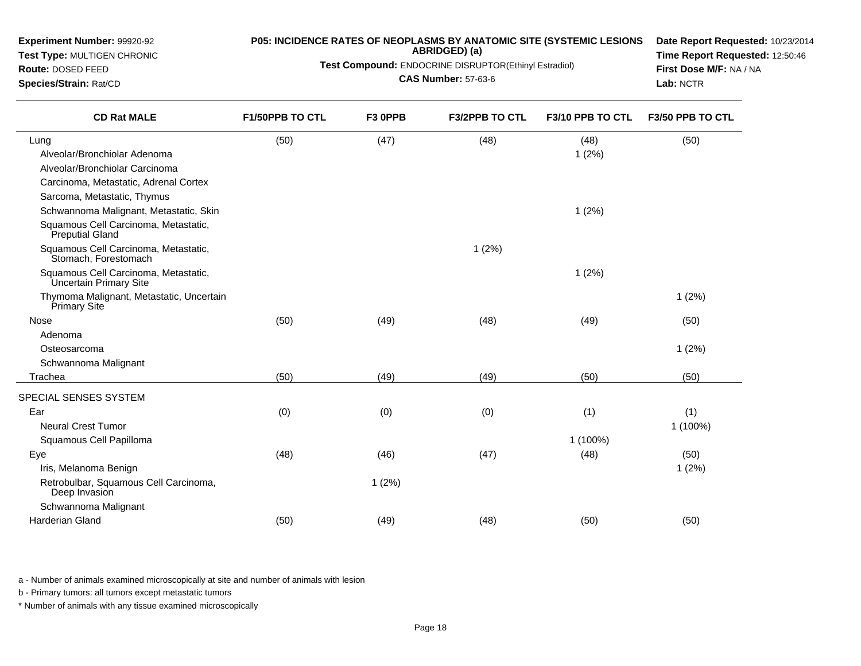| <b>Route: DOSED FEED</b><br>Species/Strain: Rat/CD             | Test Compound: ENDOCRINE DISRUPTOR(Ethinyl Estradiol) | First Dose M/F: NA / NA<br>Lab: NCTR |                |                  |                  |
|----------------------------------------------------------------|-------------------------------------------------------|--------------------------------------|----------------|------------------|------------------|
| <b>CD Rat MALE</b>                                             | F1/50PPB TO CTL                                       | F3 0PPB                              | F3/2PPB TO CTL | F3/10 PPB TO CTL | F3/50 PPB TO CTL |
| Lung                                                           | (50)                                                  | (47)                                 | (48)           | (48)             | (50)             |
| Alveolar/Bronchiolar Adenoma                                   |                                                       |                                      |                | 1(2%)            |                  |
| Alveolar/Bronchiolar Carcinoma                                 |                                                       |                                      |                |                  |                  |
| Carcinoma, Metastatic, Adrenal Cortex                          |                                                       |                                      |                |                  |                  |
| Sarcoma, Metastatic, Thymus                                    |                                                       |                                      |                |                  |                  |
| Schwannoma Malignant, Metastatic, Skin                         |                                                       |                                      |                | 1(2%)            |                  |
| Squamous Cell Carcinoma, Metastatic,<br>Preputial Gland        |                                                       |                                      |                |                  |                  |
| Squamous Cell Carcinoma, Metastatic,<br>Stomach, Forestomach   |                                                       |                                      | 1(2%)          |                  |                  |
| Squamous Cell Carcinoma, Metastatic,<br>Uncertain Primary Site |                                                       |                                      |                | 1(2%)            |                  |
| Thymoma Malignant, Metastatic, Uncertain<br>Primary Site       |                                                       |                                      |                |                  | 1(2%)            |
| Nose                                                           | (50)                                                  | (49)                                 | (48)           | (49)             | (50)             |
| Adenoma                                                        |                                                       |                                      |                |                  |                  |
| Osteosarcoma                                                   |                                                       |                                      |                |                  | 1(2%)            |
| Schwannoma Malignant                                           |                                                       |                                      |                |                  |                  |
| Trachea                                                        | (50)                                                  | (49)                                 | (49)           | (50)             | (50)             |
| SPECIAL SENSES SYSTEM                                          |                                                       |                                      |                |                  |                  |
| Ear                                                            | (0)                                                   | (0)                                  | (0)            | (1)              | (1)              |
| <b>Neural Crest Tumor</b>                                      |                                                       |                                      |                |                  | 1 (100%)         |
| Squamous Cell Papilloma                                        |                                                       |                                      |                | 1 (100%)         |                  |
| Eye                                                            | (48)                                                  | (46)                                 | (47)           | (48)             | (50)             |
| Iris, Melanoma Benign                                          |                                                       |                                      |                |                  | 1(2%)            |
| Retrobulbar, Squamous Cell Carcinoma,<br>Deep Invasion         |                                                       | 1(2%)                                |                |                  |                  |
| Schwannoma Malignant                                           |                                                       |                                      |                |                  |                  |
| Harderian Gland                                                | (50)                                                  | (49)                                 | (48)           | (50)             | (50)             |

**P05: INCIDENCE RATES OF NEOPLASMS BY ANATOMIC SITE (SYSTEMIC LESIONSABRIDGED) (a)**

**Date Report Requested:** 10/23/2014**Time Report Requested:** 12:50:46

a - Number of animals examined microscopically at site and number of animals with lesion

b - Primary tumors: all tumors except metastatic tumors

**Experiment Number:** 99920-92**Test Type:** MULTIGEN CHRONIC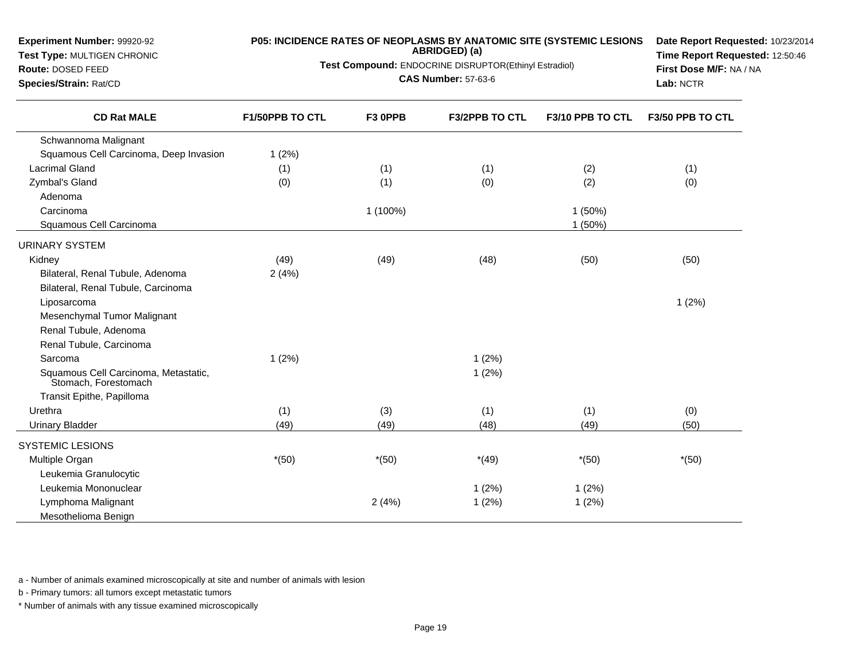| Experiment Number: 99920-92 |  |
|-----------------------------|--|
|-----------------------------|--|

 **Test Type:** MULTIGEN CHRONIC**Route:** DOSED FEED

**Species/Strain:** Rat/CD

# **P05: INCIDENCE RATES OF NEOPLASMS BY ANATOMIC SITE (SYSTEMIC LESIONS ABRIDGED) (a)**

**Test Compound:** ENDOCRINE DISRUPTOR(Ethinyl Estradiol)

**CAS Number:** 57-63-6

**Date Report Requested:** 10/23/2014**Time Report Requested:** 12:50:46**First Dose M/F:** NA / NA**Lab:** NCTR

| <b>CD Rat MALE</b>                                           | F1/50PPB TO CTL | F3 OPPB  | <b>F3/2PPB TO CTL</b> | F3/10 PPB TO CTL | F3/50 PPB TO CTL |
|--------------------------------------------------------------|-----------------|----------|-----------------------|------------------|------------------|
| Schwannoma Malignant                                         |                 |          |                       |                  |                  |
| Squamous Cell Carcinoma, Deep Invasion                       | 1(2%)           |          |                       |                  |                  |
| <b>Lacrimal Gland</b>                                        | (1)             | (1)      | (1)                   | (2)              | (1)              |
| Zymbal's Gland                                               | (0)             | (1)      | (0)                   | (2)              | (0)              |
| Adenoma                                                      |                 |          |                       |                  |                  |
| Carcinoma                                                    |                 | 1 (100%) |                       | 1(50%)           |                  |
| Squamous Cell Carcinoma                                      |                 |          |                       | 1(50%)           |                  |
| <b>URINARY SYSTEM</b>                                        |                 |          |                       |                  |                  |
| Kidney                                                       | (49)            | (49)     | (48)                  | (50)             | (50)             |
| Bilateral, Renal Tubule, Adenoma                             | 2(4%)           |          |                       |                  |                  |
| Bilateral, Renal Tubule, Carcinoma                           |                 |          |                       |                  |                  |
| Liposarcoma                                                  |                 |          |                       |                  | 1(2%)            |
| Mesenchymal Tumor Malignant                                  |                 |          |                       |                  |                  |
| Renal Tubule, Adenoma                                        |                 |          |                       |                  |                  |
| Renal Tubule, Carcinoma                                      |                 |          |                       |                  |                  |
| Sarcoma                                                      | 1(2%)           |          | 1(2%)                 |                  |                  |
| Squamous Cell Carcinoma, Metastatic,<br>Stomach, Forestomach |                 |          | 1(2%)                 |                  |                  |
| Transit Epithe, Papilloma                                    |                 |          |                       |                  |                  |
| Urethra                                                      | (1)             | (3)      | (1)                   | (1)              | (0)              |
| <b>Urinary Bladder</b>                                       | (49)            | (49)     | (48)                  | (49)             | (50)             |
| <b>SYSTEMIC LESIONS</b>                                      |                 |          |                       |                  |                  |
| Multiple Organ                                               | $*(50)$         | $*(50)$  | $*(49)$               | $*(50)$          | $*(50)$          |
| Leukemia Granulocytic                                        |                 |          |                       |                  |                  |
| Leukemia Mononuclear                                         |                 |          | 1(2%)                 | 1(2%)            |                  |
| Lymphoma Malignant                                           |                 | 2(4%)    | 1(2%)                 | 1(2%)            |                  |
| Mesothelioma Benign                                          |                 |          |                       |                  |                  |

a - Number of animals examined microscopically at site and number of animals with lesion

b - Primary tumors: all tumors except metastatic tumors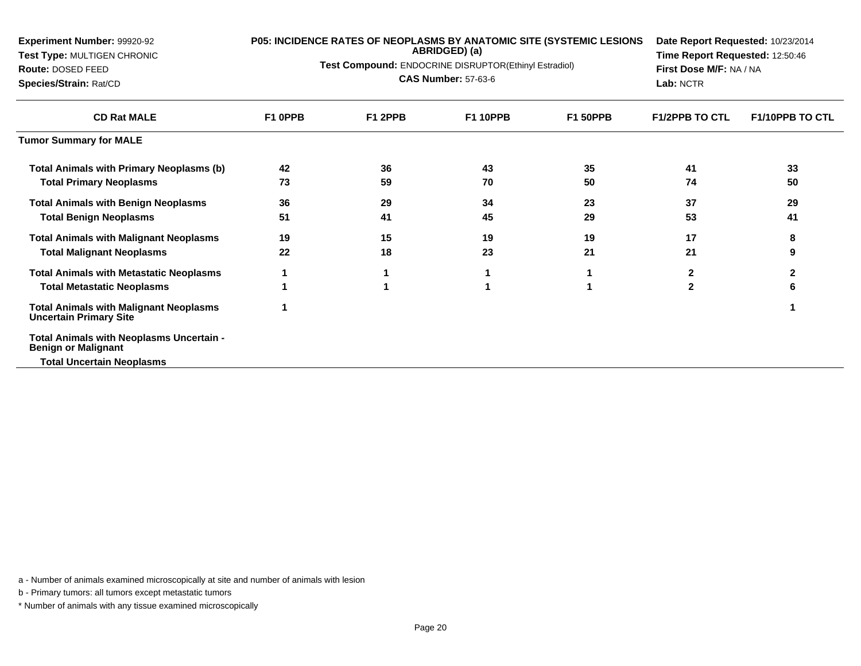| Experiment Number: 99920-92                                                    |         | P05: INCIDENCE RATES OF NEOPLASMS BY ANATOMIC SITE (SYSTEMIC LESIONS | Date Report Requested: 10/23/2014                     |                 |                         |                        |
|--------------------------------------------------------------------------------|---------|----------------------------------------------------------------------|-------------------------------------------------------|-----------------|-------------------------|------------------------|
| Test Type: MULTIGEN CHRONIC                                                    |         | ABRIDGED) (a)                                                        | Time Report Requested: 12:50:46                       |                 |                         |                        |
| Route: DOSED FEED                                                              |         |                                                                      | Test Compound: ENDOCRINE DISRUPTOR(Ethinyl Estradiol) |                 | First Dose M/F: NA / NA |                        |
| Species/Strain: Rat/CD                                                         |         |                                                                      | <b>CAS Number: 57-63-6</b>                            |                 | Lab: NCTR               |                        |
| <b>CD Rat MALE</b>                                                             | F1 0PPB | F1 2PPB                                                              | <b>F1 10PPB</b>                                       | <b>F1 50PPB</b> | <b>F1/2PPB TO CTL</b>   | <b>F1/10PPB TO CTL</b> |
| <b>Tumor Summary for MALE</b>                                                  |         |                                                                      |                                                       |                 |                         |                        |
| <b>Total Animals with Primary Neoplasms (b)</b>                                | 42      | 36                                                                   | 43                                                    | 35              | 41                      | 33                     |
| <b>Total Primary Neoplasms</b>                                                 | 73      | 59                                                                   | 70                                                    | 50              | 74                      | 50                     |
| <b>Total Animals with Benign Neoplasms</b>                                     | 36      | 29                                                                   | 34                                                    | 23              | 37                      | 29                     |
| <b>Total Benign Neoplasms</b>                                                  | 51      | 41                                                                   | 45                                                    | 29              | 53                      | 41                     |
| <b>Total Animals with Malignant Neoplasms</b>                                  | 19      | 15                                                                   | 19                                                    | 19              | 17                      | 8                      |
| <b>Total Malignant Neoplasms</b>                                               | 22      | 18                                                                   | 23                                                    | 21              | 21                      | 9                      |
| <b>Total Animals with Metastatic Neoplasms</b>                                 |         |                                                                      |                                                       |                 | 2                       | 2                      |
| <b>Total Metastatic Neoplasms</b>                                              |         |                                                                      |                                                       |                 | $\mathbf{2}$            | 6                      |
| <b>Total Animals with Malignant Neoplasms</b><br><b>Uncertain Primary Site</b> |         |                                                                      |                                                       |                 |                         |                        |
| Total Animals with Neoplasms Uncertain -<br><b>Benign or Malignant</b>         |         |                                                                      |                                                       |                 |                         |                        |
| <b>Total Uncertain Neoplasms</b>                                               |         |                                                                      |                                                       |                 |                         |                        |

b - Primary tumors: all tumors except metastatic tumors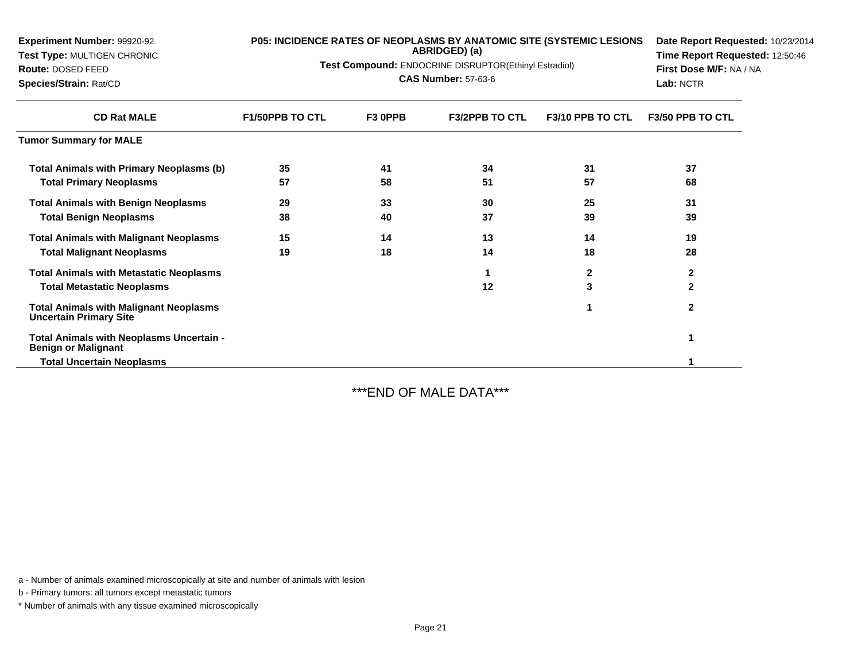| Experiment Number: 99920-92<br>Test Type: MULTIGEN CHRONIC<br><b>Route: DOSED FEED</b> | P05: INCIDENCE RATES OF NEOPLASMS BY ANATOMIC SITE (SYSTEMIC LESIONS<br>Test Compound: ENDOCRINE DISRUPTOR(Ethinyl Estradiol) | Date Report Requested: 10/23/2014<br>Time Report Requested: 12:50:46<br>First Dose M/F: NA / NA |                       |                  |                         |
|----------------------------------------------------------------------------------------|-------------------------------------------------------------------------------------------------------------------------------|-------------------------------------------------------------------------------------------------|-----------------------|------------------|-------------------------|
| Species/Strain: Rat/CD                                                                 |                                                                                                                               | Lab: NCTR                                                                                       |                       |                  |                         |
| <b>CD Rat MALE</b>                                                                     | <b>F1/50PPB TO CTL</b>                                                                                                        | F3 OPPB                                                                                         | <b>F3/2PPB TO CTL</b> | F3/10 PPB TO CTL | <b>F3/50 PPB TO CTL</b> |
| <b>Tumor Summary for MALE</b>                                                          |                                                                                                                               |                                                                                                 |                       |                  |                         |
| <b>Total Animals with Primary Neoplasms (b)</b>                                        | 35                                                                                                                            | 41                                                                                              | 34                    | 31               | 37                      |
| <b>Total Primary Neoplasms</b>                                                         | 57                                                                                                                            | 58                                                                                              | 51                    | 57               | 68                      |
| <b>Total Animals with Benign Neoplasms</b>                                             | 29                                                                                                                            | 33                                                                                              | 30                    | 25               | 31                      |
| <b>Total Benign Neoplasms</b>                                                          | 38                                                                                                                            | 40                                                                                              | 37                    | 39               | 39                      |
| <b>Total Animals with Malignant Neoplasms</b>                                          | 15                                                                                                                            | 14                                                                                              | 13                    | 14               | 19                      |
| <b>Total Malignant Neoplasms</b>                                                       | 19                                                                                                                            | 18                                                                                              | 14                    | 18               | 28                      |
| <b>Total Animals with Metastatic Neoplasms</b>                                         |                                                                                                                               |                                                                                                 |                       | $\mathbf{2}$     | $\mathbf{2}$            |
| <b>Total Metastatic Neoplasms</b>                                                      |                                                                                                                               |                                                                                                 | 12                    | 3                | $\mathbf{2}$            |
| Total Animals with Malignant Neoplasms<br><b>Uncertain Primary Site</b>                |                                                                                                                               |                                                                                                 |                       |                  | $\mathbf{2}$            |
| Total Animals with Neoplasms Uncertain -<br><b>Benign or Malignant</b>                 |                                                                                                                               |                                                                                                 |                       |                  |                         |
| <b>Total Uncertain Neoplasms</b>                                                       |                                                                                                                               |                                                                                                 |                       |                  |                         |

\*\*\*END OF MALE DATA\*\*\*

a - Number of animals examined microscopically at site and number of animals with lesion

b - Primary tumors: all tumors except metastatic tumors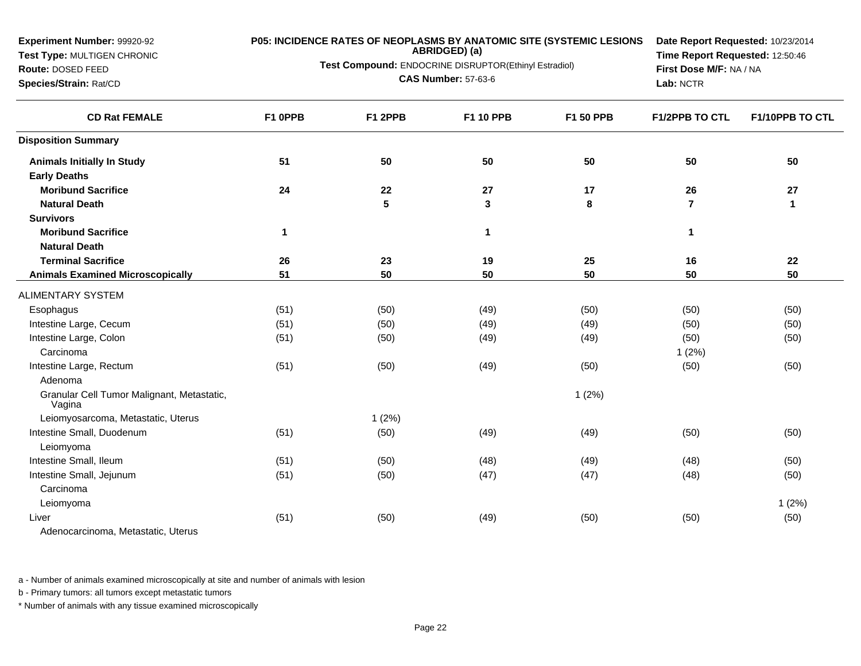**Test Type:** MULTIGEN CHRONIC**Route:** DOSED FEED

**Species/Strain:** Rat/CD

### **P05: INCIDENCE RATES OF NEOPLASMS BY ANATOMIC SITE (SYSTEMIC LESIONS**

**ABRIDGED) (a)**

**Test Compound:** ENDOCRINE DISRUPTOR(Ethinyl Estradiol)

**CAS Number:** 57-63-6

**Date Report Requested:** 10/23/2014**Time Report Requested:** 12:50:46**First Dose M/F:** NA / NA**Lab:** NCTR

| <b>CD Rat FEMALE</b>                                 | F1 OPPB      | F1 2PPB | F1 10 PPB   | <b>F1 50 PPB</b> | <b>F1/2PPB TO CTL</b> | F1/10PPB TO CTL |
|------------------------------------------------------|--------------|---------|-------------|------------------|-----------------------|-----------------|
| <b>Disposition Summary</b>                           |              |         |             |                  |                       |                 |
| <b>Animals Initially In Study</b>                    | 51           | 50      | 50          | 50               | 50                    | 50              |
| <b>Early Deaths</b>                                  |              |         |             |                  |                       |                 |
| <b>Moribund Sacrifice</b>                            | 24           | 22      | 27          | 17               | 26                    | 27              |
| <b>Natural Death</b>                                 |              | 5       | 3           | 8                | $\overline{7}$        | $\mathbf{1}$    |
| <b>Survivors</b>                                     |              |         |             |                  |                       |                 |
| <b>Moribund Sacrifice</b>                            | $\mathbf{1}$ |         | $\mathbf 1$ |                  | 1                     |                 |
| <b>Natural Death</b>                                 |              |         |             |                  |                       |                 |
| <b>Terminal Sacrifice</b>                            | 26           | 23      | 19          | 25               | 16                    | 22              |
| <b>Animals Examined Microscopically</b>              | 51           | 50      | 50          | 50               | 50                    | 50              |
| <b>ALIMENTARY SYSTEM</b>                             |              |         |             |                  |                       |                 |
| Esophagus                                            | (51)         | (50)    | (49)        | (50)             | (50)                  | (50)            |
| Intestine Large, Cecum                               | (51)         | (50)    | (49)        | (49)             | (50)                  | (50)            |
| Intestine Large, Colon                               | (51)         | (50)    | (49)        | (49)             | (50)                  | (50)            |
| Carcinoma                                            |              |         |             |                  | 1(2%)                 |                 |
| Intestine Large, Rectum                              | (51)         | (50)    | (49)        | (50)             | (50)                  | (50)            |
| Adenoma                                              |              |         |             |                  |                       |                 |
| Granular Cell Tumor Malignant, Metastatic,<br>Vagina |              |         |             | 1(2%)            |                       |                 |
| Leiomyosarcoma, Metastatic, Uterus                   |              | 1(2%)   |             |                  |                       |                 |
| Intestine Small, Duodenum                            | (51)         | (50)    | (49)        | (49)             | (50)                  | (50)            |
| Leiomyoma                                            |              |         |             |                  |                       |                 |
| Intestine Small, Ileum                               | (51)         | (50)    | (48)        | (49)             | (48)                  | (50)            |
| Intestine Small, Jejunum                             | (51)         | (50)    | (47)        | (47)             | (48)                  | (50)            |
| Carcinoma                                            |              |         |             |                  |                       |                 |
| Leiomyoma                                            |              |         |             |                  |                       | 1(2%)           |
| Liver                                                | (51)         | (50)    | (49)        | (50)             | (50)                  | (50)            |
| Adenocarcinoma, Metastatic, Uterus                   |              |         |             |                  |                       |                 |

a - Number of animals examined microscopically at site and number of animals with lesion

b - Primary tumors: all tumors except metastatic tumors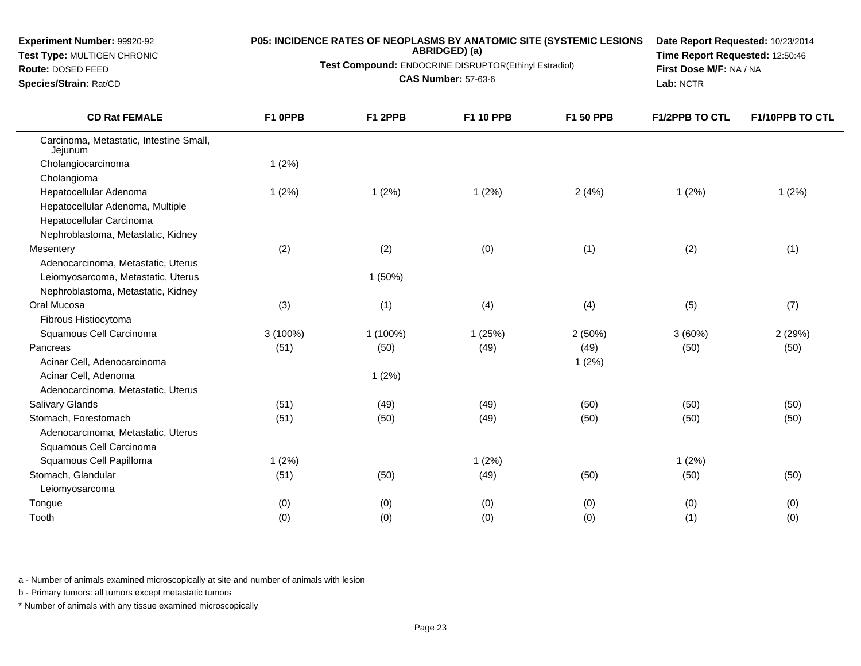**Test Type:** MULTIGEN CHRONIC

#### **Route:** DOSED FEED

**Species/Strain:** Rat/CD

# **P05: INCIDENCE RATES OF NEOPLASMS BY ANATOMIC SITE (SYSTEMIC LESIONS ABRIDGED) (a)**

**Test Compound:** ENDOCRINE DISRUPTOR(Ethinyl Estradiol)

**CAS Number:** 57-63-6

**Date Report Requested:** 10/23/2014**Time Report Requested:** 12:50:46**First Dose M/F:** NA / NA**Lab:** NCTR

| <b>CD Rat FEMALE</b>                               | F1 OPPB    | F1 2PPB  | <b>F1 10 PPB</b> | F1 50 PPB | <b>F1/2PPB TO CTL</b> | F1/10PPB TO CTL |
|----------------------------------------------------|------------|----------|------------------|-----------|-----------------------|-----------------|
| Carcinoma, Metastatic, Intestine Small,<br>Jejunum |            |          |                  |           |                       |                 |
| Cholangiocarcinoma                                 | 1(2%)      |          |                  |           |                       |                 |
| Cholangioma                                        |            |          |                  |           |                       |                 |
| Hepatocellular Adenoma                             | 1(2%)      | 1(2%)    | 1(2%)            | 2(4%)     | 1(2%)                 | 1(2%)           |
| Hepatocellular Adenoma, Multiple                   |            |          |                  |           |                       |                 |
| Hepatocellular Carcinoma                           |            |          |                  |           |                       |                 |
| Nephroblastoma, Metastatic, Kidney                 |            |          |                  |           |                       |                 |
| Mesentery                                          | (2)        | (2)      | (0)              | (1)       | (2)                   | (1)             |
| Adenocarcinoma, Metastatic, Uterus                 |            |          |                  |           |                       |                 |
| Leiomyosarcoma, Metastatic, Uterus                 |            | 1 (50%)  |                  |           |                       |                 |
| Nephroblastoma, Metastatic, Kidney                 |            |          |                  |           |                       |                 |
| Oral Mucosa                                        | (3)        | (1)      | (4)              | (4)       | (5)                   | (7)             |
| Fibrous Histiocytoma                               |            |          |                  |           |                       |                 |
| Squamous Cell Carcinoma                            | $3(100\%)$ | 1 (100%) | 1(25%)           | 2(50%)    | 3(60%)                | 2 (29%)         |
| Pancreas                                           | (51)       | (50)     | (49)             | (49)      | (50)                  | (50)            |
| Acinar Cell, Adenocarcinoma                        |            |          |                  | 1(2%)     |                       |                 |
| Acinar Cell, Adenoma                               |            | 1(2%)    |                  |           |                       |                 |
| Adenocarcinoma, Metastatic, Uterus                 |            |          |                  |           |                       |                 |
| <b>Salivary Glands</b>                             | (51)       | (49)     | (49)             | (50)      | (50)                  | (50)            |
| Stomach, Forestomach                               | (51)       | (50)     | (49)             | (50)      | (50)                  | (50)            |
| Adenocarcinoma, Metastatic, Uterus                 |            |          |                  |           |                       |                 |
| Squamous Cell Carcinoma                            |            |          |                  |           |                       |                 |
| Squamous Cell Papilloma                            | 1(2%)      |          | 1(2%)            |           | 1(2%)                 |                 |
| Stomach, Glandular                                 | (51)       | (50)     | (49)             | (50)      | (50)                  | (50)            |
| Leiomyosarcoma                                     |            |          |                  |           |                       |                 |
| Tongue                                             | (0)        | (0)      | (0)              | (0)       | (0)                   | (0)             |
| Tooth                                              | (0)        | (0)      | (0)              | (0)       | (1)                   | (0)             |

a - Number of animals examined microscopically at site and number of animals with lesion

b - Primary tumors: all tumors except metastatic tumors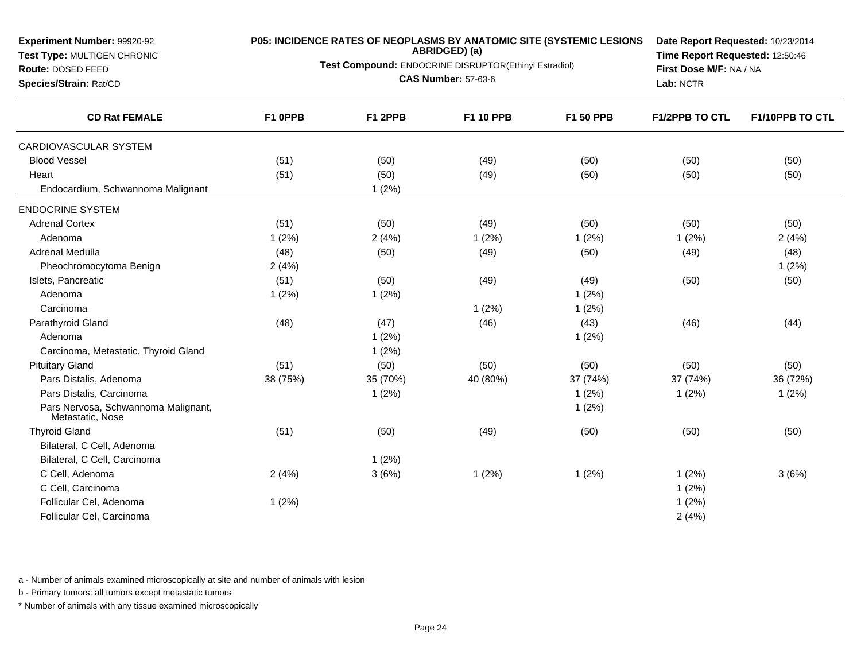**Test Type:** MULTIGEN CHRONIC**Route:** DOSED FEED **Species/Strain:** Rat/CD**ABRIDGED) (a)Test Compound:** ENDOCRINE DISRUPTOR(Ethinyl Estradiol)**CAS Number:** 57-63-6**Time Report Requested:** 12:50:46**First Dose M/F:** NA / NA**Lab:** NCTR**CD Rat FEMALE F1 0PPB F1 2PPB F1 10 PPB F1 50 PPB F1/2PPB TO CTL F1/10PPB TO CTL** CARDIOVASCULAR SYSTEMBlood Vessel $\vert$  (51) ) (50) (49) (50) (50) (50) **Heart** t the contract of  $(51)$ ) (50) (49) (50) (50) (50) Endocardium, Schwannoma Malignant 1 (2%)ENDOCRINE SYSTEMAdrenal Cortexx (51) (50) (50) (49) (50) (50) (50) (50) (50) (50) Adenomaa 3 1 (2%) 2 (4%) 2 (4%) 2 (4%) 2 (4%) 2 (4%) 2 (4%) 2 (4%) Adrenal Medulla (48) (50) (49) (50) (49) (48) Pheochromocytoma Benignn  $2(4\%)$  1 (2%) Islets, Pancreaticc (51) (51) (50) (50) (49) (49) (49) (50) (50) Adenomaa and  $1 (2\%)$  1 (2%) 1 (2%) 1 (2%) Carcinomaa and  $1 (2\%)$  1 (2%) Parathyroid Gland (48) (47) (46) (43) (46) (44) Adenomaa and  $1 (2\%)$  1 (2%) Carcinoma, Metastatic, Thyroid Glandd  $1 (2\%)$ Pituitary Gland (51) (50) (50) (50) (50) (50) Pars Distalis, Adenoma 38 (75%) 35 (70%) 40 (80%) 37 (74%) 37 (74%) 36 (72%) Pars Distalis, Carcinomaa and the contract of  $1 (2\%)$  1 (2%) 1 (2%) 1 (2%) 1 (2%) 1 (2%) Pars Nervosa, Schwannoma Malignant,Metastatic, Nose1 (2%)Thyroid Glandd (51) (50) (50) (49) (50) (50) (50) (50) (50) Bilateral, C Cell, Adenoma Bilateral, C Cell, Carcinomaa and  $1 (2\%)$ C Cell, Adenomaa 3 (4%) 3 (6%) 3 (6%) 1 (2%) 3 (2%) 3 (6%) 3 (6%) C Cell, Carcinomaa  $1(2\%)$ Follicular Cel, Adenomaa and  $1(2\%)$ Follicular Cel, Carcinomaa  $2(4\%)$ 

**P05: INCIDENCE RATES OF NEOPLASMS BY ANATOMIC SITE (SYSTEMIC LESIONS**

**Date Report Requested:** 10/23/2014

a - Number of animals examined microscopically at site and number of animals with lesion

b - Primary tumors: all tumors except metastatic tumors

**Experiment Number:** 99920-92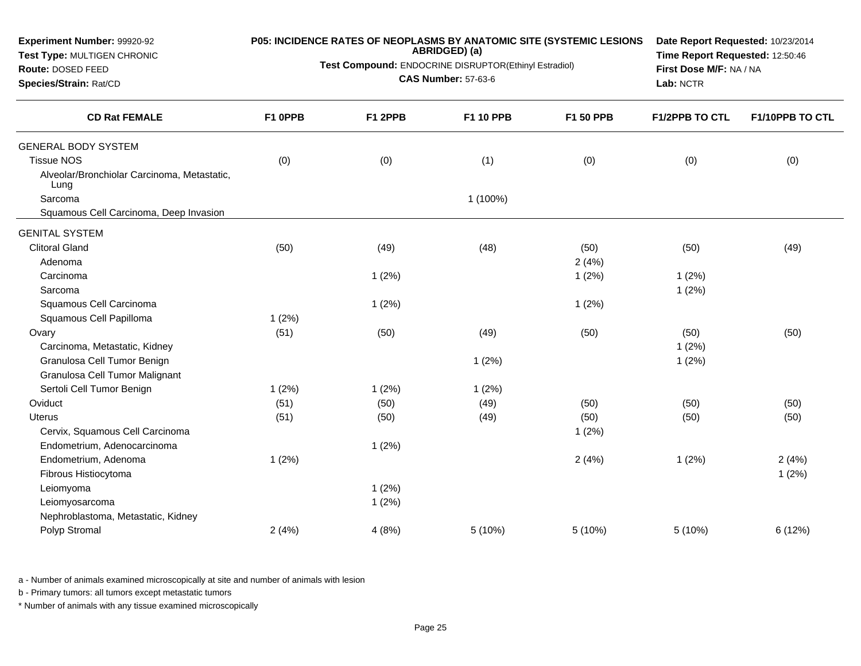| Experiment Number: 99920-92<br>Test Type: MULTIGEN CHRONIC<br>Route: DOSED FEED<br>Species/Strain: Rat/CD |         | P05: INCIDENCE RATES OF NEOPLASMS BY ANATOMIC SITE (SYSTEMIC LESIONS<br>ABRIDGED) (a)<br>Test Compound: ENDOCRINE DISRUPTOR(Ethinyl Estradiol)<br><b>CAS Number: 57-63-6</b> | Date Report Requested: 10/23/2014<br>Time Report Requested: 12:50:46<br>First Dose M/F: NA / NA<br>Lab: NCTR |                  |                       |                        |
|-----------------------------------------------------------------------------------------------------------|---------|------------------------------------------------------------------------------------------------------------------------------------------------------------------------------|--------------------------------------------------------------------------------------------------------------|------------------|-----------------------|------------------------|
| <b>CD Rat FEMALE</b>                                                                                      | F1 0PPB | F1 2PPB                                                                                                                                                                      | <b>F1 10 PPB</b>                                                                                             | <b>F1 50 PPB</b> | <b>F1/2PPB TO CTL</b> | <b>F1/10PPB TO CTL</b> |
| <b>GENERAL BODY SYSTEM</b>                                                                                |         |                                                                                                                                                                              |                                                                                                              |                  |                       |                        |
| <b>Tissue NOS</b>                                                                                         | (0)     | (0)                                                                                                                                                                          | (1)                                                                                                          | (0)              | (0)                   | (0)                    |
| Alveolar/Bronchiolar Carcinoma, Metastatic,<br>Lung                                                       |         |                                                                                                                                                                              |                                                                                                              |                  |                       |                        |
| Sarcoma                                                                                                   |         |                                                                                                                                                                              | 1 (100%)                                                                                                     |                  |                       |                        |
| Squamous Cell Carcinoma, Deep Invasion                                                                    |         |                                                                                                                                                                              |                                                                                                              |                  |                       |                        |
| <b>GENITAL SYSTEM</b>                                                                                     |         |                                                                                                                                                                              |                                                                                                              |                  |                       |                        |
| <b>Clitoral Gland</b>                                                                                     | (50)    | (49)                                                                                                                                                                         | (48)                                                                                                         | (50)             | (50)                  | (49)                   |
| Adenoma                                                                                                   |         |                                                                                                                                                                              |                                                                                                              | 2(4%)            |                       |                        |
| Carcinoma                                                                                                 |         | 1(2%)                                                                                                                                                                        |                                                                                                              | 1(2%)            | 1(2%)                 |                        |
| Sarcoma                                                                                                   |         |                                                                                                                                                                              |                                                                                                              |                  | 1(2%)                 |                        |
| Squamous Cell Carcinoma                                                                                   |         | 1(2%)                                                                                                                                                                        |                                                                                                              | 1(2%)            |                       |                        |
| Squamous Cell Papilloma                                                                                   | 1(2%)   |                                                                                                                                                                              |                                                                                                              |                  |                       |                        |
| Ovary                                                                                                     | (51)    | (50)                                                                                                                                                                         | (49)                                                                                                         | (50)             | (50)                  | (50)                   |
| Carcinoma, Metastatic, Kidney                                                                             |         |                                                                                                                                                                              |                                                                                                              |                  | 1(2%)                 |                        |
| Granulosa Cell Tumor Benign                                                                               |         |                                                                                                                                                                              | 1(2%)                                                                                                        |                  | 1(2%)                 |                        |
| Granulosa Cell Tumor Malignant                                                                            |         |                                                                                                                                                                              |                                                                                                              |                  |                       |                        |
| Sertoli Cell Tumor Benign                                                                                 | 1(2%)   | 1(2%)                                                                                                                                                                        | 1(2%)                                                                                                        |                  |                       |                        |
| Oviduct                                                                                                   | (51)    | (50)                                                                                                                                                                         | (49)                                                                                                         | (50)             | (50)                  | (50)                   |
| <b>Uterus</b>                                                                                             | (51)    | (50)                                                                                                                                                                         | (49)                                                                                                         | (50)             | (50)                  | (50)                   |
| Cervix, Squamous Cell Carcinoma                                                                           |         |                                                                                                                                                                              |                                                                                                              | 1(2%)            |                       |                        |
| Endometrium, Adenocarcinoma                                                                               |         | 1(2%)                                                                                                                                                                        |                                                                                                              |                  |                       |                        |
| Endometrium, Adenoma                                                                                      | 1(2%)   |                                                                                                                                                                              |                                                                                                              | 2(4%)            | 1(2%)                 | 2(4%)                  |
| Fibrous Histiocytoma                                                                                      |         |                                                                                                                                                                              |                                                                                                              |                  |                       | 1(2%)                  |
| Leiomyoma                                                                                                 |         | 1(2%)                                                                                                                                                                        |                                                                                                              |                  |                       |                        |
| Leiomyosarcoma                                                                                            |         | 1(2%)                                                                                                                                                                        |                                                                                                              |                  |                       |                        |
| Nephroblastoma, Metastatic, Kidney                                                                        |         |                                                                                                                                                                              |                                                                                                              |                  |                       |                        |
| Polyp Stromal                                                                                             | 2(4%)   | 4(8%)                                                                                                                                                                        | 5 (10%)                                                                                                      | 5 (10%)          | 5 (10%)               | 6(12%)                 |
|                                                                                                           |         |                                                                                                                                                                              |                                                                                                              |                  |                       |                        |

b - Primary tumors: all tumors except metastatic tumors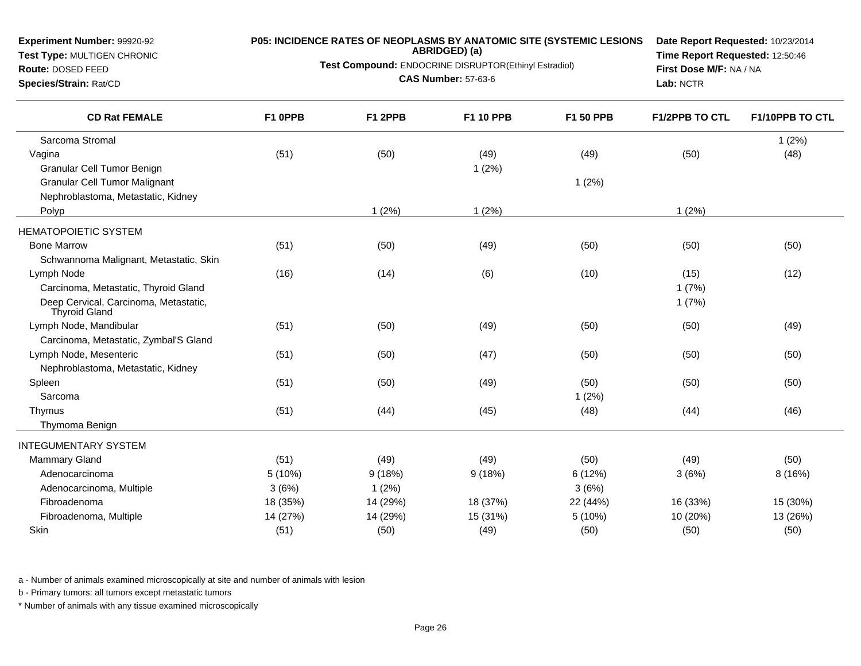**Test Type:** MULTIGEN CHRONIC**Route:** DOSED FEED

**Species/Strain:** Rat/CD

### **P05: INCIDENCE RATES OF NEOPLASMS BY ANATOMIC SITE (SYSTEMIC LESIONS**

**ABRIDGED) (a)**

**Test Compound:** ENDOCRINE DISRUPTOR(Ethinyl Estradiol)

**CAS Number:** 57-63-6

**Date Report Requested:** 10/23/2014**Time Report Requested:** 12:50:46**First Dose M/F:** NA / NA**Lab:** NCTR

| <b>CD Rat FEMALE</b>                                          | F1 0PPB  | F1 2PPB  | <b>F1 10 PPB</b> | F1 50 PPB | <b>F1/2PPB TO CTL</b> | F1/10PPB TO CTL |
|---------------------------------------------------------------|----------|----------|------------------|-----------|-----------------------|-----------------|
| Sarcoma Stromal                                               |          |          |                  |           |                       | 1(2%)           |
| Vagina                                                        | (51)     | (50)     | (49)             | (49)      | (50)                  | (48)            |
| <b>Granular Cell Tumor Benign</b>                             |          |          | 1(2%)            |           |                       |                 |
| <b>Granular Cell Tumor Malignant</b>                          |          |          |                  | 1(2%)     |                       |                 |
| Nephroblastoma, Metastatic, Kidney                            |          |          |                  |           |                       |                 |
| Polyp                                                         |          | 1(2%)    | 1(2%)            |           | 1(2%)                 |                 |
| <b>HEMATOPOIETIC SYSTEM</b>                                   |          |          |                  |           |                       |                 |
| <b>Bone Marrow</b>                                            | (51)     | (50)     | (49)             | (50)      | (50)                  | (50)            |
| Schwannoma Malignant, Metastatic, Skin                        |          |          |                  |           |                       |                 |
| Lymph Node                                                    | (16)     | (14)     | (6)              | (10)      | (15)                  | (12)            |
| Carcinoma, Metastatic, Thyroid Gland                          |          |          |                  |           | 1(7%)                 |                 |
| Deep Cervical, Carcinoma, Metastatic,<br><b>Thyroid Gland</b> |          |          |                  |           | 1(7%)                 |                 |
| Lymph Node, Mandibular                                        | (51)     | (50)     | (49)             | (50)      | (50)                  | (49)            |
| Carcinoma, Metastatic, Zymbal'S Gland                         |          |          |                  |           |                       |                 |
| Lymph Node, Mesenteric                                        | (51)     | (50)     | (47)             | (50)      | (50)                  | (50)            |
| Nephroblastoma, Metastatic, Kidney                            |          |          |                  |           |                       |                 |
| Spleen                                                        | (51)     | (50)     | (49)             | (50)      | (50)                  | (50)            |
| Sarcoma                                                       |          |          |                  | 1(2%)     |                       |                 |
| Thymus                                                        | (51)     | (44)     | (45)             | (48)      | (44)                  | (46)            |
| Thymoma Benign                                                |          |          |                  |           |                       |                 |
| <b>INTEGUMENTARY SYSTEM</b>                                   |          |          |                  |           |                       |                 |
| <b>Mammary Gland</b>                                          | (51)     | (49)     | (49)             | (50)      | (49)                  | (50)            |
| Adenocarcinoma                                                | 5 (10%)  | 9(18%)   | 9(18%)           | 6 (12%)   | 3(6%)                 | 8 (16%)         |
| Adenocarcinoma, Multiple                                      | 3(6%)    | 1(2%)    |                  | 3(6%)     |                       |                 |
| Fibroadenoma                                                  | 18 (35%) | 14 (29%) | 18 (37%)         | 22 (44%)  | 16 (33%)              | 15 (30%)        |
| Fibroadenoma, Multiple                                        | 14 (27%) | 14 (29%) | 15 (31%)         | 5 (10%)   | 10 (20%)              | 13 (26%)        |
| Skin                                                          | (51)     | (50)     | (49)             | (50)      | (50)                  | (50)            |

a - Number of animals examined microscopically at site and number of animals with lesion

b - Primary tumors: all tumors except metastatic tumors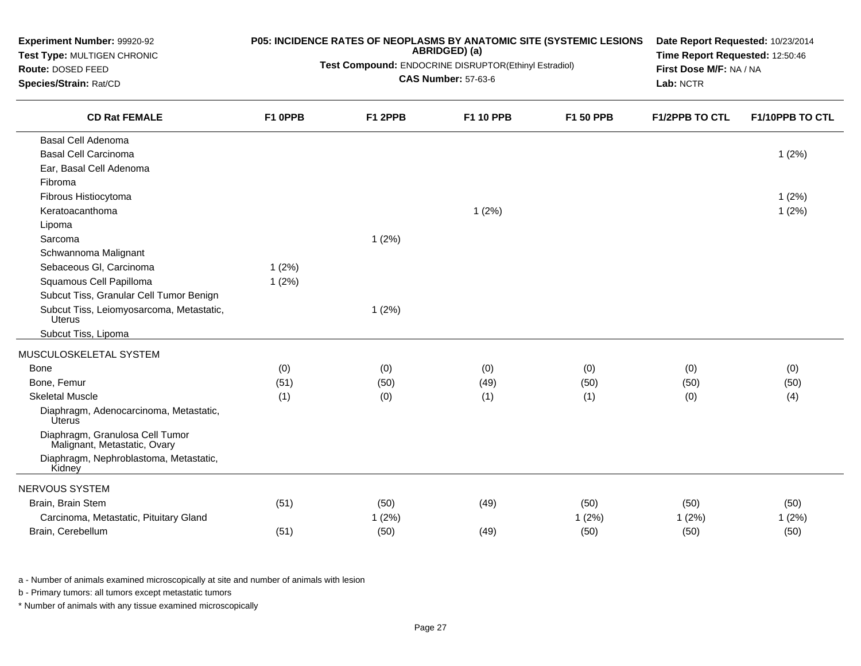| Experiment Number: 99920-92<br>Test Type: MULTIGEN CHRONIC<br>Route: DOSED FEED<br>Species/Strain: Rat/CD |         | P05: INCIDENCE RATES OF NEOPLASMS BY ANATOMIC SITE (SYSTEMIC LESIONS<br>ABRIDGED) (a)<br>Test Compound: ENDOCRINE DISRUPTOR(Ethinyl Estradiol)<br><b>CAS Number: 57-63-6</b> | Date Report Requested: 10/23/2014<br>Time Report Requested: 12:50:46<br>First Dose M/F: NA / NA<br>Lab: NCTR |           |                |                 |
|-----------------------------------------------------------------------------------------------------------|---------|------------------------------------------------------------------------------------------------------------------------------------------------------------------------------|--------------------------------------------------------------------------------------------------------------|-----------|----------------|-----------------|
| <b>CD Rat FEMALE</b>                                                                                      | F1 OPPB | F1 2PPB                                                                                                                                                                      | F1 10 PPB                                                                                                    | F1 50 PPB | F1/2PPB TO CTL | F1/10PPB TO CTL |
| <b>Basal Cell Adenoma</b>                                                                                 |         |                                                                                                                                                                              |                                                                                                              |           |                |                 |
| <b>Basal Cell Carcinoma</b>                                                                               |         |                                                                                                                                                                              |                                                                                                              |           |                | 1(2%)           |
| Ear, Basal Cell Adenoma                                                                                   |         |                                                                                                                                                                              |                                                                                                              |           |                |                 |
| Fibroma                                                                                                   |         |                                                                                                                                                                              |                                                                                                              |           |                |                 |
| Fibrous Histiocytoma                                                                                      |         |                                                                                                                                                                              |                                                                                                              |           |                | 1(2%)           |
| Keratoacanthoma                                                                                           |         |                                                                                                                                                                              | 1(2%)                                                                                                        |           |                | 1(2%)           |
| Lipoma                                                                                                    |         |                                                                                                                                                                              |                                                                                                              |           |                |                 |
| Sarcoma                                                                                                   |         | 1(2%)                                                                                                                                                                        |                                                                                                              |           |                |                 |
| Schwannoma Malignant                                                                                      |         |                                                                                                                                                                              |                                                                                                              |           |                |                 |
| Sebaceous Gl, Carcinoma                                                                                   | 1(2%)   |                                                                                                                                                                              |                                                                                                              |           |                |                 |
| Squamous Cell Papilloma                                                                                   | 1(2%)   |                                                                                                                                                                              |                                                                                                              |           |                |                 |
| Subcut Tiss, Granular Cell Tumor Benign                                                                   |         |                                                                                                                                                                              |                                                                                                              |           |                |                 |
| Subcut Tiss, Leiomyosarcoma, Metastatic,<br>Uterus                                                        |         | 1(2%)                                                                                                                                                                        |                                                                                                              |           |                |                 |
| Subcut Tiss, Lipoma                                                                                       |         |                                                                                                                                                                              |                                                                                                              |           |                |                 |
| MUSCULOSKELETAL SYSTEM                                                                                    |         |                                                                                                                                                                              |                                                                                                              |           |                |                 |
| Bone                                                                                                      | (0)     | (0)                                                                                                                                                                          | (0)                                                                                                          | (0)       | (0)            | (0)             |
| Bone, Femur                                                                                               | (51)    | (50)                                                                                                                                                                         | (49)                                                                                                         | (50)      | (50)           | (50)            |
| <b>Skeletal Muscle</b>                                                                                    | (1)     | (0)                                                                                                                                                                          | (1)                                                                                                          | (1)       | (0)            | (4)             |
| Diaphragm, Adenocarcinoma, Metastatic,<br><b>Úterus</b>                                                   |         |                                                                                                                                                                              |                                                                                                              |           |                |                 |
| Diaphragm, Granulosa Cell Tumor<br>Malignant, Metastatic, Ovary                                           |         |                                                                                                                                                                              |                                                                                                              |           |                |                 |
| Diaphragm, Nephroblastoma, Metastatic,<br>Kidney                                                          |         |                                                                                                                                                                              |                                                                                                              |           |                |                 |
| NERVOUS SYSTEM                                                                                            |         |                                                                                                                                                                              |                                                                                                              |           |                |                 |
| Brain, Brain Stem                                                                                         | (51)    | (50)                                                                                                                                                                         | (49)                                                                                                         | (50)      | (50)           | (50)            |
| Carcinoma, Metastatic, Pituitary Gland                                                                    |         | 1(2%)                                                                                                                                                                        |                                                                                                              | 1(2%)     | 1(2%)          | 1(2%)           |
| Brain, Cerebellum                                                                                         | (51)    | (50)                                                                                                                                                                         | (49)                                                                                                         | (50)      | (50)           | (50)            |
|                                                                                                           |         |                                                                                                                                                                              |                                                                                                              |           |                |                 |

b - Primary tumors: all tumors except metastatic tumors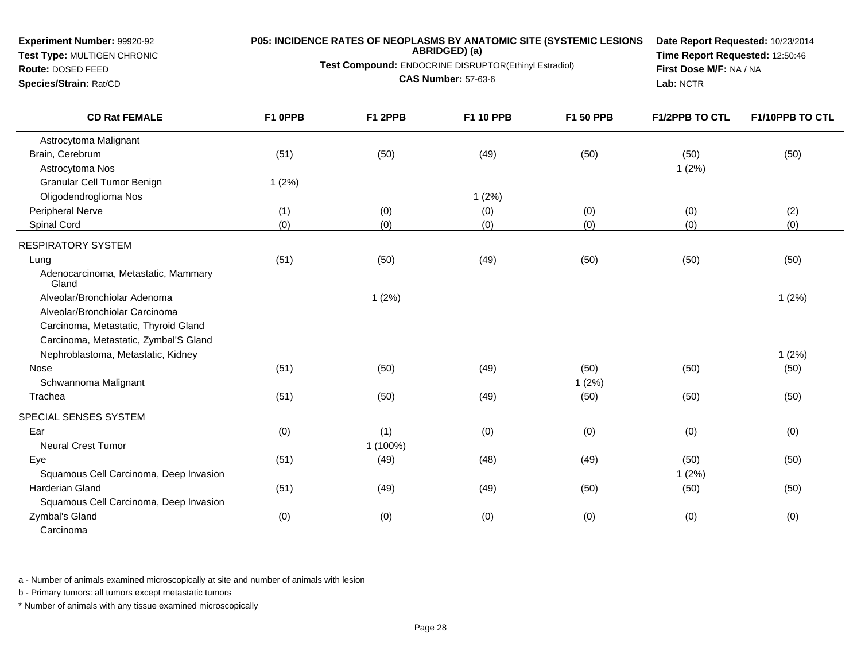**Test Type:** MULTIGEN CHRONIC**Route:** DOSED FEED

**Species/Strain:** Rat/CD

# **P05: INCIDENCE RATES OF NEOPLASMS BY ANATOMIC SITE (SYSTEMIC LESIONS ABRIDGED) (a)**

**Test Compound:** ENDOCRINE DISRUPTOR(Ethinyl Estradiol)

**CAS Number:** 57-63-6

**Date Report Requested:** 10/23/2014**Time Report Requested:** 12:50:46**First Dose M/F:** NA / NA**Lab:** NCTR

| <b>CD Rat FEMALE</b>                         | F1 OPPB | F1 2PPB  | F1 10 PPB | F1 50 PPB | F1/2PPB TO CTL | F1/10PPB TO CTL |
|----------------------------------------------|---------|----------|-----------|-----------|----------------|-----------------|
| Astrocytoma Malignant                        |         |          |           |           |                |                 |
| Brain, Cerebrum                              | (51)    | (50)     | (49)      | (50)      | (50)           | (50)            |
| Astrocytoma Nos                              |         |          |           |           | 1(2%)          |                 |
| Granular Cell Tumor Benign                   | 1(2%)   |          |           |           |                |                 |
| Oligodendroglioma Nos                        |         |          | 1(2%)     |           |                |                 |
| Peripheral Nerve                             | (1)     | (0)      | (0)       | (0)       | (0)            | (2)             |
| Spinal Cord                                  | (0)     | (0)      | (0)       | (0)       | (0)            | (0)             |
| <b>RESPIRATORY SYSTEM</b>                    |         |          |           |           |                |                 |
| Lung                                         | (51)    | (50)     | (49)      | (50)      | (50)           | (50)            |
| Adenocarcinoma, Metastatic, Mammary<br>Gland |         |          |           |           |                |                 |
| Alveolar/Bronchiolar Adenoma                 |         | 1(2%)    |           |           |                | 1(2%)           |
| Alveolar/Bronchiolar Carcinoma               |         |          |           |           |                |                 |
| Carcinoma, Metastatic, Thyroid Gland         |         |          |           |           |                |                 |
| Carcinoma, Metastatic, Zymbal'S Gland        |         |          |           |           |                |                 |
| Nephroblastoma, Metastatic, Kidney           |         |          |           |           |                | 1(2%)           |
| Nose                                         | (51)    | (50)     | (49)      | (50)      | (50)           | (50)            |
| Schwannoma Malignant                         |         |          |           | 1(2%)     |                |                 |
| Trachea                                      | (51)    | (50)     | (49)      | (50)      | (50)           | (50)            |
| SPECIAL SENSES SYSTEM                        |         |          |           |           |                |                 |
| Ear                                          | (0)     | (1)      | (0)       | (0)       | (0)            | (0)             |
| <b>Neural Crest Tumor</b>                    |         | 1 (100%) |           |           |                |                 |
| Eye                                          | (51)    | (49)     | (48)      | (49)      | (50)           | (50)            |
| Squamous Cell Carcinoma, Deep Invasion       |         |          |           |           | 1(2%)          |                 |
| <b>Harderian Gland</b>                       | (51)    | (49)     | (49)      | (50)      | (50)           | (50)            |
| Squamous Cell Carcinoma, Deep Invasion       |         |          |           |           |                |                 |
| Zymbal's Gland                               | (0)     | (0)      | (0)       | (0)       | (0)            | (0)             |
| Carcinoma                                    |         |          |           |           |                |                 |

a - Number of animals examined microscopically at site and number of animals with lesion

b - Primary tumors: all tumors except metastatic tumors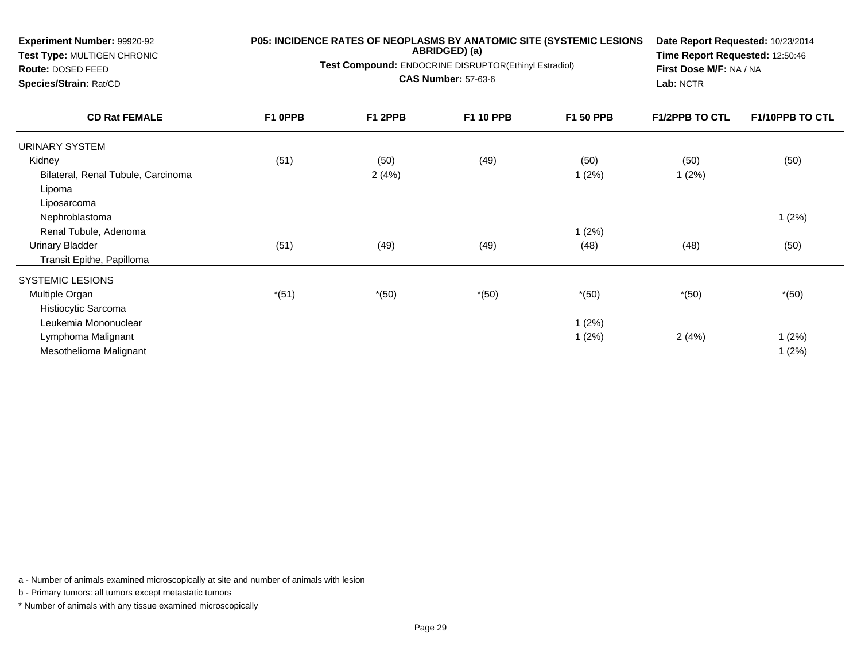| <b>Experiment Number: 99920-92</b><br>Test Type: MULTIGEN CHRONIC |         | P05: INCIDENCE RATES OF NEOPLASMS BY ANATOMIC SITE (SYSTEMIC LESIONS<br>ABRIDGED) (a) | Date Report Requested: 10/23/2014<br>Time Report Requested: 12:50:46 |                  |                       |                 |
|-------------------------------------------------------------------|---------|---------------------------------------------------------------------------------------|----------------------------------------------------------------------|------------------|-----------------------|-----------------|
| Route: DOSED FEED                                                 |         | Test Compound: ENDOCRINE DISRUPTOR(Ethinyl Estradiol)                                 | First Dose M/F: NA / NA                                              |                  |                       |                 |
| Species/Strain: Rat/CD                                            |         | <b>CAS Number: 57-63-6</b>                                                            | Lab: NCTR                                                            |                  |                       |                 |
| <b>CD Rat FEMALE</b>                                              | F1 0PPB | F1 2PPB                                                                               | F1 10 PPB                                                            | <b>F1 50 PPB</b> | <b>F1/2PPB TO CTL</b> | F1/10PPB TO CTL |
| URINARY SYSTEM                                                    |         |                                                                                       |                                                                      |                  |                       |                 |
| Kidney                                                            | (51)    | (50)                                                                                  | (49)                                                                 | (50)             | (50)                  | (50)            |
| Bilateral, Renal Tubule, Carcinoma                                |         | 2(4%)                                                                                 |                                                                      | 1(2%)            | 1(2%)                 |                 |
| Lipoma                                                            |         |                                                                                       |                                                                      |                  |                       |                 |
| Liposarcoma                                                       |         |                                                                                       |                                                                      |                  |                       |                 |
| Nephroblastoma                                                    |         |                                                                                       |                                                                      |                  |                       | 1(2%)           |
| Renal Tubule, Adenoma                                             |         |                                                                                       |                                                                      | 1(2%)            |                       |                 |
| <b>Urinary Bladder</b>                                            | (51)    | (49)                                                                                  | (49)                                                                 | (48)             | (48)                  | (50)            |
| Transit Epithe, Papilloma                                         |         |                                                                                       |                                                                      |                  |                       |                 |
| SYSTEMIC LESIONS                                                  |         |                                                                                       |                                                                      |                  |                       |                 |
| Multiple Organ                                                    | $*(51)$ | $*(50)$                                                                               | $*(50)$                                                              | $*(50)$          | $*(50)$               | $*(50)$         |
| Histiocytic Sarcoma                                               |         |                                                                                       |                                                                      |                  |                       |                 |
| Leukemia Mononuclear                                              |         |                                                                                       |                                                                      | 1(2%)            |                       |                 |
| Lymphoma Malignant                                                |         |                                                                                       |                                                                      | 1(2%)            | 2(4%)                 | 1(2%)           |
| Mesothelioma Malignant                                            |         |                                                                                       |                                                                      |                  |                       | 1(2%)           |

b - Primary tumors: all tumors except metastatic tumors

**Experiment Number:** 99920-92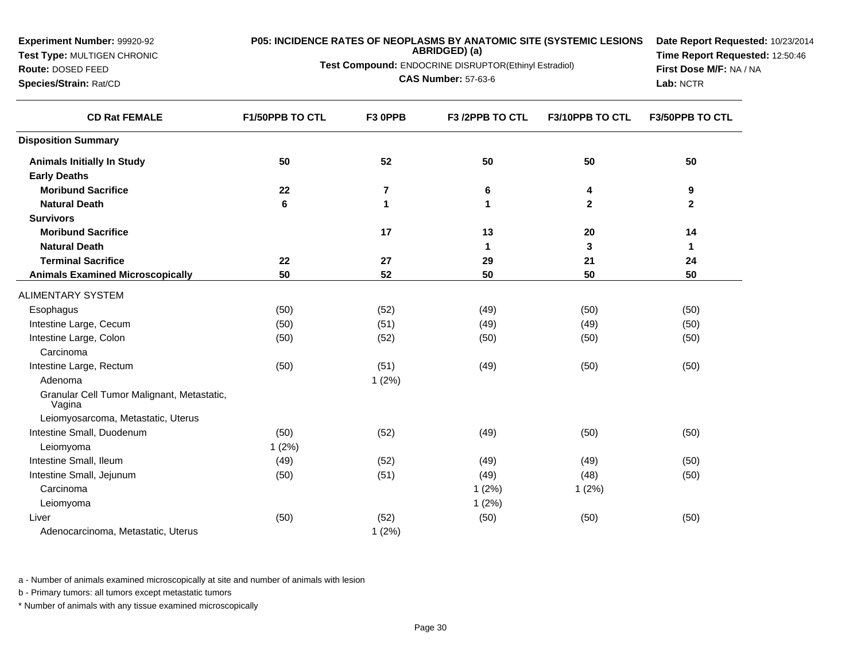| Experiment Number: 99920-92                          | P05: INCIDENCE RATES OF NEOPLASMS BY ANATOMIC SITE (SYSTEMIC LESIONS | Date Report Requested: 10/23/2014 |                            |                 |                 |
|------------------------------------------------------|----------------------------------------------------------------------|-----------------------------------|----------------------------|-----------------|-----------------|
| Test Type: MULTIGEN CHRONIC                          | Test Compound: ENDOCRINE DISRUPTOR(Ethinyl Estradiol)                | Time Report Requested: 12:50:46   |                            |                 |                 |
| Route: DOSED FEED                                    |                                                                      | First Dose M/F: NA / NA           |                            |                 |                 |
| Species/Strain: Rat/CD                               |                                                                      |                                   | <b>CAS Number: 57-63-6</b> |                 | Lab: NCTR       |
| <b>CD Rat FEMALE</b>                                 | F1/50PPB TO CTL                                                      | F3 OPPB                           | F3 /2PPB TO CTL            | F3/10PPB TO CTL | F3/50PPB TO CTL |
| <b>Disposition Summary</b>                           |                                                                      |                                   |                            |                 |                 |
| <b>Animals Initially In Study</b>                    | 50                                                                   | 52                                | 50                         | 50              | 50              |
| <b>Early Deaths</b>                                  |                                                                      |                                   |                            |                 |                 |
| <b>Moribund Sacrifice</b>                            | 22                                                                   | $\overline{7}$                    | 6                          | 4               | 9               |
| <b>Natural Death</b>                                 | 6                                                                    | 1                                 | $\blacktriangleleft$       | $\mathbf{2}$    | $\overline{2}$  |
| <b>Survivors</b>                                     |                                                                      |                                   |                            |                 |                 |
| <b>Moribund Sacrifice</b>                            |                                                                      | 17                                | 13                         | 20              | 14              |
| <b>Natural Death</b>                                 |                                                                      |                                   | $\mathbf{1}$               | 3               | $\mathbf 1$     |
| <b>Terminal Sacrifice</b>                            | 22                                                                   | 27                                | 29                         | 21              | 24              |
| <b>Animals Examined Microscopically</b>              | 50                                                                   | 52                                | 50                         | 50              | 50              |
| <b>ALIMENTARY SYSTEM</b>                             |                                                                      |                                   |                            |                 |                 |
| Esophagus                                            | (50)                                                                 | (52)                              | (49)                       | (50)            | (50)            |
| Intestine Large, Cecum                               | (50)                                                                 | (51)                              | (49)                       | (49)            | (50)            |
| Intestine Large, Colon                               | (50)                                                                 | (52)                              | (50)                       | (50)            | (50)            |
| Carcinoma                                            |                                                                      |                                   |                            |                 |                 |
| Intestine Large, Rectum                              | (50)                                                                 | (51)                              | (49)                       | (50)            | (50)            |
| Adenoma                                              |                                                                      | 1(2%)                             |                            |                 |                 |
| Granular Cell Tumor Malignant, Metastatic,<br>Vagina |                                                                      |                                   |                            |                 |                 |
| Leiomyosarcoma, Metastatic, Uterus                   |                                                                      |                                   |                            |                 |                 |
| Intestine Small, Duodenum                            | (50)                                                                 | (52)                              | (49)                       | (50)            | (50)            |
| Leiomyoma                                            | 1(2%)                                                                |                                   |                            |                 |                 |
| Intestine Small, Ileum                               | (49)                                                                 | (52)                              | (49)                       | (49)            | (50)            |
| Intestine Small, Jejunum                             | (50)                                                                 | (51)                              | (49)                       | (48)            | (50)            |
| Carcinoma                                            |                                                                      |                                   | 1(2%)                      | 1(2%)           |                 |
| Leiomyoma                                            |                                                                      |                                   | 1(2%)                      |                 |                 |
| Liver                                                | (50)                                                                 | (52)                              | (50)                       | (50)            | (50)            |
| Adenocarcinoma, Metastatic, Uterus                   |                                                                      | 1(2%)                             |                            |                 |                 |

b - Primary tumors: all tumors except metastatic tumors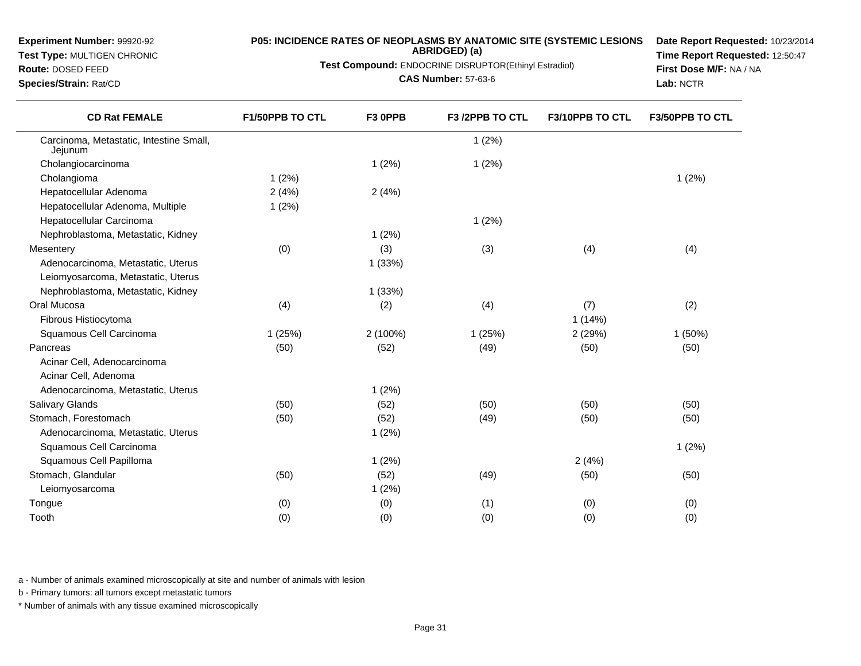### **Test Type:** MULTIGEN CHRONIC

#### **Route:** DOSED FEED

**Species/Strain:** Rat/CD

# **P05: INCIDENCE RATES OF NEOPLASMS BY ANATOMIC SITE (SYSTEMIC LESIONS ABRIDGED) (a)**

**Test Compound:** ENDOCRINE DISRUPTOR(Ethinyl Estradiol)

**CAS Number:** 57-63-6

**Date Report Requested:** 10/23/2014**Time Report Requested:** 12:50:47**First Dose M/F:** NA / NA**Lab:** NCTR

| <b>CD Rat FEMALE</b>                               | F1/50PPB TO CTL | F3 OPPB  | F3 /2PPB TO CTL | F3/10PPB TO CTL | F3/50PPB TO CTL |
|----------------------------------------------------|-----------------|----------|-----------------|-----------------|-----------------|
| Carcinoma, Metastatic, Intestine Small,<br>Jejunum |                 |          | 1(2%)           |                 |                 |
| Cholangiocarcinoma                                 |                 | 1(2%)    | 1(2%)           |                 |                 |
| Cholangioma                                        | 1(2%)           |          |                 |                 | 1(2%)           |
| Hepatocellular Adenoma                             | 2(4%)           | 2(4%)    |                 |                 |                 |
| Hepatocellular Adenoma, Multiple                   | 1(2%)           |          |                 |                 |                 |
| Hepatocellular Carcinoma                           |                 |          | 1(2%)           |                 |                 |
| Nephroblastoma, Metastatic, Kidney                 |                 | 1(2%)    |                 |                 |                 |
| Mesentery                                          | (0)             | (3)      | (3)             | (4)             | (4)             |
| Adenocarcinoma, Metastatic, Uterus                 |                 | 1(33%)   |                 |                 |                 |
| Leiomyosarcoma, Metastatic, Uterus                 |                 |          |                 |                 |                 |
| Nephroblastoma, Metastatic, Kidney                 |                 | 1(33%)   |                 |                 |                 |
| Oral Mucosa                                        | (4)             | (2)      | (4)             | (7)             | (2)             |
| Fibrous Histiocytoma                               |                 |          |                 | 1(14%)          |                 |
| Squamous Cell Carcinoma                            | 1(25%)          | 2 (100%) | 1(25%)          | 2(29%)          | $1(50\%)$       |
| Pancreas                                           | (50)            | (52)     | (49)            | (50)            | (50)            |
| Acinar Cell, Adenocarcinoma                        |                 |          |                 |                 |                 |
| Acinar Cell, Adenoma                               |                 |          |                 |                 |                 |
| Adenocarcinoma, Metastatic, Uterus                 |                 | 1(2%)    |                 |                 |                 |
| Salivary Glands                                    | (50)            | (52)     | (50)            | (50)            | (50)            |
| Stomach, Forestomach                               | (50)            | (52)     | (49)            | (50)            | (50)            |
| Adenocarcinoma, Metastatic, Uterus                 |                 | 1(2%)    |                 |                 |                 |
| Squamous Cell Carcinoma                            |                 |          |                 |                 | 1(2%)           |
| Squamous Cell Papilloma                            |                 | 1(2%)    |                 | 2(4%)           |                 |
| Stomach, Glandular                                 | (50)            | (52)     | (49)            | (50)            | (50)            |
| Leiomyosarcoma                                     |                 | 1(2%)    |                 |                 |                 |
| Tongue                                             | (0)             | (0)      | (1)             | (0)             | (0)             |
| Tooth                                              | (0)             | (0)      | (0)             | (0)             | (0)             |
|                                                    |                 |          |                 |                 |                 |

a - Number of animals examined microscopically at site and number of animals with lesion

b - Primary tumors: all tumors except metastatic tumors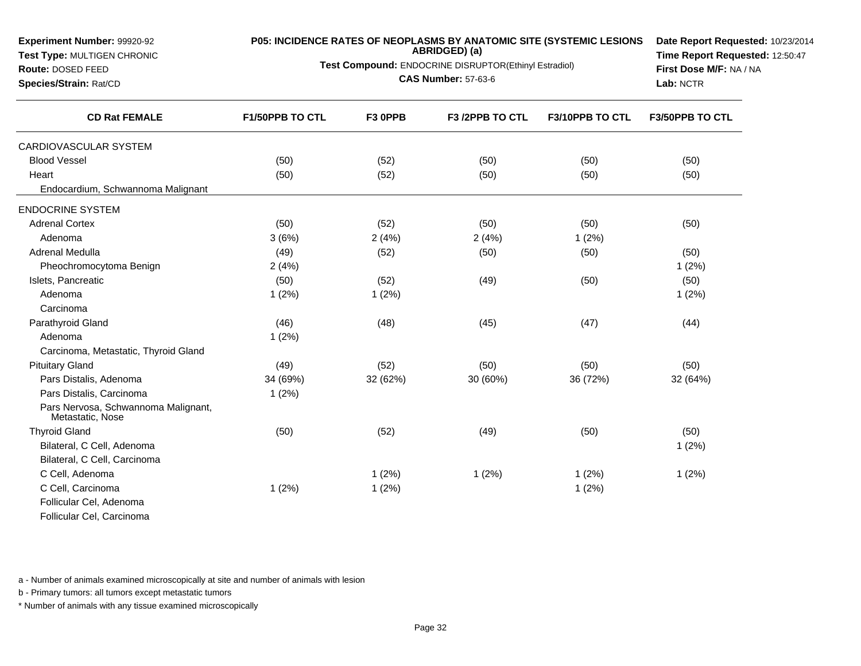| Experiment Number: 99920-92<br>Test Type: MULTIGEN CHRONIC<br>Route: DOSED FEED<br>Species/Strain: Rat/CD | P05: INCIDENCE RATES OF NEOPLASMS BY ANATOMIC SITE (SYSTEMIC LESIONS<br>Test Compound: ENDOCRINE DISRUPTOR(Ethinyl Estradiol) | Date Report Requested: 10/23/2014<br>Time Report Requested: 12:50:47<br>First Dose M/F: NA / NA<br>Lab: NCTR |                 |                 |                 |
|-----------------------------------------------------------------------------------------------------------|-------------------------------------------------------------------------------------------------------------------------------|--------------------------------------------------------------------------------------------------------------|-----------------|-----------------|-----------------|
| <b>CD Rat FEMALE</b>                                                                                      | F1/50PPB TO CTL                                                                                                               | F3 0PPB                                                                                                      | F3 /2PPB TO CTL | F3/10PPB TO CTL | F3/50PPB TO CTL |
| CARDIOVASCULAR SYSTEM                                                                                     |                                                                                                                               |                                                                                                              |                 |                 |                 |
| <b>Blood Vessel</b>                                                                                       | (50)                                                                                                                          | (52)                                                                                                         | (50)            | (50)            | (50)            |
| Heart                                                                                                     | (50)                                                                                                                          | (52)                                                                                                         | (50)            | (50)            | (50)            |
| Endocardium, Schwannoma Malignant                                                                         |                                                                                                                               |                                                                                                              |                 |                 |                 |
| <b>ENDOCRINE SYSTEM</b>                                                                                   |                                                                                                                               |                                                                                                              |                 |                 |                 |
| <b>Adrenal Cortex</b>                                                                                     | (50)                                                                                                                          | (52)                                                                                                         | (50)            | (50)            | (50)            |
| Adenoma                                                                                                   | 3(6%)                                                                                                                         | 2(4%)                                                                                                        | 2(4%)           | 1(2%)           |                 |
| Adrenal Medulla                                                                                           | (49)                                                                                                                          | (52)                                                                                                         | (50)            | (50)            | (50)            |
| Pheochromocytoma Benign                                                                                   | 2(4%)                                                                                                                         |                                                                                                              |                 |                 | 1(2%)           |
| Islets, Pancreatic                                                                                        | (50)                                                                                                                          | (52)                                                                                                         | (49)            | (50)            | (50)            |
| Adenoma                                                                                                   | 1(2%)                                                                                                                         | 1(2%)                                                                                                        |                 |                 | 1(2%)           |
| Carcinoma                                                                                                 |                                                                                                                               |                                                                                                              |                 |                 |                 |
| Parathyroid Gland                                                                                         | (46)                                                                                                                          | (48)                                                                                                         | (45)            | (47)            | (44)            |
| Adenoma                                                                                                   | 1(2%)                                                                                                                         |                                                                                                              |                 |                 |                 |
| Carcinoma, Metastatic, Thyroid Gland                                                                      |                                                                                                                               |                                                                                                              |                 |                 |                 |
| <b>Pituitary Gland</b>                                                                                    | (49)                                                                                                                          | (52)                                                                                                         | (50)            | (50)            | (50)            |
| Pars Distalis, Adenoma                                                                                    | 34 (69%)                                                                                                                      | 32 (62%)                                                                                                     | 30 (60%)        | 36 (72%)        | 32 (64%)        |
| Pars Distalis, Carcinoma                                                                                  | 1(2%)                                                                                                                         |                                                                                                              |                 |                 |                 |
| Pars Nervosa, Schwannoma Malignant,<br>Metastatic, Nose                                                   |                                                                                                                               |                                                                                                              |                 |                 |                 |
| <b>Thyroid Gland</b>                                                                                      | (50)                                                                                                                          | (52)                                                                                                         | (49)            | (50)            | (50)            |
| Bilateral, C Cell, Adenoma                                                                                |                                                                                                                               |                                                                                                              |                 |                 | 1(2%)           |
| Bilateral, C Cell, Carcinoma                                                                              |                                                                                                                               |                                                                                                              |                 |                 |                 |
| C Cell, Adenoma                                                                                           |                                                                                                                               | 1(2%)                                                                                                        | 1(2%)           | 1(2%)           | 1(2%)           |
| C Cell, Carcinoma                                                                                         | 1(2%)                                                                                                                         | 1(2%)                                                                                                        |                 | 1(2%)           |                 |
| Follicular Cel, Adenoma                                                                                   |                                                                                                                               |                                                                                                              |                 |                 |                 |
| Follicular Cel, Carcinoma                                                                                 |                                                                                                                               |                                                                                                              |                 |                 |                 |

b - Primary tumors: all tumors except metastatic tumors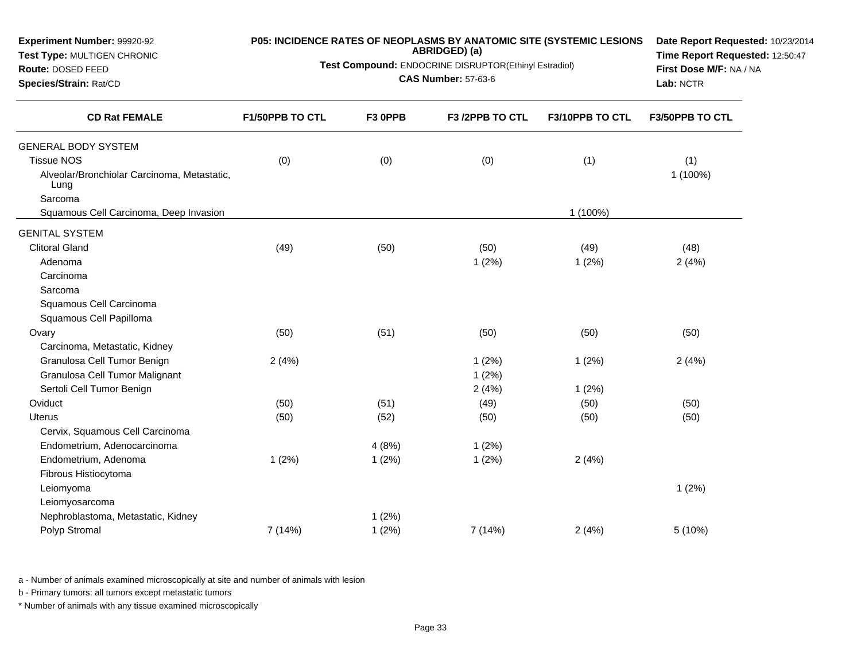| Experiment Number: 99920-92<br>Test Type: MULTIGEN CHRONIC<br>Route: DOSED FEED<br>Species/Strain: Rat/CD | P05: INCIDENCE RATES OF NEOPLASMS BY ANATOMIC SITE (SYSTEMIC LESIONS<br>Test Compound: ENDOCRINE DISRUPTOR(Ethinyl Estradiol) | Date Report Requested: 10/23/2014<br>Time Report Requested: 12:50:47<br>First Dose M/F: NA / NA<br>Lab: NCTR |                 |                 |                 |
|-----------------------------------------------------------------------------------------------------------|-------------------------------------------------------------------------------------------------------------------------------|--------------------------------------------------------------------------------------------------------------|-----------------|-----------------|-----------------|
| <b>CD Rat FEMALE</b>                                                                                      | F1/50PPB TO CTL                                                                                                               | F3 OPPB                                                                                                      | F3 /2PPB TO CTL | F3/10PPB TO CTL | F3/50PPB TO CTL |
| <b>GENERAL BODY SYSTEM</b>                                                                                |                                                                                                                               |                                                                                                              |                 |                 |                 |
| <b>Tissue NOS</b>                                                                                         | (0)                                                                                                                           | (0)                                                                                                          | (0)             | (1)             | (1)             |
| Alveolar/Bronchiolar Carcinoma, Metastatic,<br>Lung                                                       |                                                                                                                               |                                                                                                              |                 |                 | 1 (100%)        |
| Sarcoma                                                                                                   |                                                                                                                               |                                                                                                              |                 |                 |                 |
| Squamous Cell Carcinoma, Deep Invasion                                                                    |                                                                                                                               |                                                                                                              |                 | 1 (100%)        |                 |
| <b>GENITAL SYSTEM</b>                                                                                     |                                                                                                                               |                                                                                                              |                 |                 |                 |
| <b>Clitoral Gland</b>                                                                                     | (49)                                                                                                                          | (50)                                                                                                         | (50)            | (49)            | (48)            |
| Adenoma                                                                                                   |                                                                                                                               |                                                                                                              | 1(2%)           | 1(2%)           | 2(4%)           |
| Carcinoma                                                                                                 |                                                                                                                               |                                                                                                              |                 |                 |                 |
| Sarcoma                                                                                                   |                                                                                                                               |                                                                                                              |                 |                 |                 |
| Squamous Cell Carcinoma                                                                                   |                                                                                                                               |                                                                                                              |                 |                 |                 |
| Squamous Cell Papilloma                                                                                   |                                                                                                                               |                                                                                                              |                 |                 |                 |
| Ovary                                                                                                     | (50)                                                                                                                          | (51)                                                                                                         | (50)            | (50)            | (50)            |
| Carcinoma, Metastatic, Kidney                                                                             |                                                                                                                               |                                                                                                              |                 |                 |                 |
| Granulosa Cell Tumor Benign                                                                               | 2(4%)                                                                                                                         |                                                                                                              | 1(2%)           | 1(2%)           | 2(4%)           |
| Granulosa Cell Tumor Malignant                                                                            |                                                                                                                               |                                                                                                              | 1(2%)           |                 |                 |
| Sertoli Cell Tumor Benign                                                                                 |                                                                                                                               |                                                                                                              | 2(4%)           | 1(2%)           |                 |
| Oviduct                                                                                                   | (50)                                                                                                                          | (51)                                                                                                         | (49)            | (50)            | (50)            |
| <b>Uterus</b>                                                                                             | (50)                                                                                                                          | (52)                                                                                                         | (50)            | (50)            | (50)            |
| Cervix, Squamous Cell Carcinoma                                                                           |                                                                                                                               |                                                                                                              |                 |                 |                 |
| Endometrium, Adenocarcinoma                                                                               |                                                                                                                               | 4(8%)                                                                                                        | 1(2%)           |                 |                 |
| Endometrium, Adenoma                                                                                      | 1(2%)                                                                                                                         | 1(2%)                                                                                                        | 1(2%)           | 2(4%)           |                 |
| Fibrous Histiocytoma                                                                                      |                                                                                                                               |                                                                                                              |                 |                 |                 |
| Leiomyoma                                                                                                 |                                                                                                                               |                                                                                                              |                 |                 | 1(2%)           |
| Leiomyosarcoma                                                                                            |                                                                                                                               |                                                                                                              |                 |                 |                 |
| Nephroblastoma, Metastatic, Kidney                                                                        |                                                                                                                               | 1(2%)                                                                                                        |                 |                 |                 |
| Polyp Stromal                                                                                             | 7 (14%)                                                                                                                       | 1(2%)                                                                                                        | 7(14%)          | 2(4%)           | 5(10%)          |

b - Primary tumors: all tumors except metastatic tumors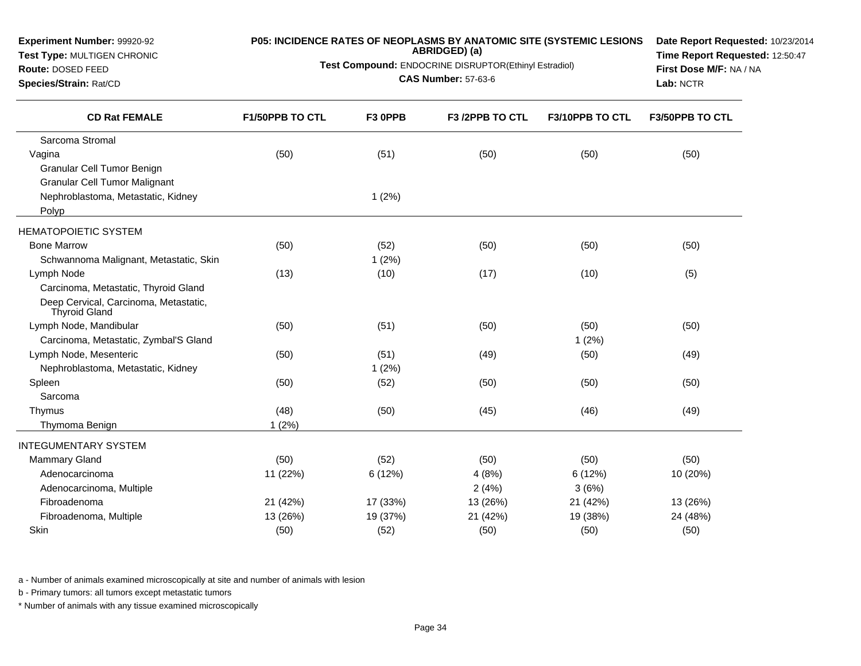| <b>Experiment Number: 99920-92</b><br>Test Type: MULTIGEN CHRONIC<br>Route: DOSED FEED<br>Species/Strain: Rat/CD | P05: INCIDENCE RATES OF NEOPLASMS BY ANATOMIC SITE (SYSTEMIC LESIONS<br>Test Compound: ENDOCRINE DISRUPTOR(Ethinyl Estradiol) | Date Report Requested: 10/23/2014<br>Time Report Requested: 12:50:47<br>First Dose M/F: NA / NA<br>Lab: NCTR |                 |                 |                 |
|------------------------------------------------------------------------------------------------------------------|-------------------------------------------------------------------------------------------------------------------------------|--------------------------------------------------------------------------------------------------------------|-----------------|-----------------|-----------------|
| <b>CD Rat FEMALE</b>                                                                                             | F1/50PPB TO CTL                                                                                                               | F3 OPPB                                                                                                      | F3 /2PPB TO CTL | F3/10PPB TO CTL | F3/50PPB TO CTL |
| Sarcoma Stromal                                                                                                  |                                                                                                                               |                                                                                                              |                 |                 |                 |
| Vagina                                                                                                           | (50)                                                                                                                          | (51)                                                                                                         | (50)            | (50)            | (50)            |
| Granular Cell Tumor Benign                                                                                       |                                                                                                                               |                                                                                                              |                 |                 |                 |
| <b>Granular Cell Tumor Malignant</b>                                                                             |                                                                                                                               |                                                                                                              |                 |                 |                 |
| Nephroblastoma, Metastatic, Kidney<br>Polyp                                                                      |                                                                                                                               | 1(2%)                                                                                                        |                 |                 |                 |
| <b>HEMATOPOIETIC SYSTEM</b>                                                                                      |                                                                                                                               |                                                                                                              |                 |                 |                 |
| <b>Bone Marrow</b>                                                                                               | (50)                                                                                                                          | (52)                                                                                                         | (50)            | (50)            | (50)            |
| Schwannoma Malignant, Metastatic, Skin                                                                           |                                                                                                                               | 1(2%)                                                                                                        |                 |                 |                 |
| Lymph Node                                                                                                       | (13)                                                                                                                          | (10)                                                                                                         | (17)            | (10)            | (5)             |
| Carcinoma, Metastatic, Thyroid Gland                                                                             |                                                                                                                               |                                                                                                              |                 |                 |                 |
| Deep Cervical, Carcinoma, Metastatic,<br><b>Thyroid Gland</b>                                                    |                                                                                                                               |                                                                                                              |                 |                 |                 |
| Lymph Node, Mandibular                                                                                           | (50)                                                                                                                          | (51)                                                                                                         | (50)            | (50)            | (50)            |
| Carcinoma, Metastatic, Zymbal'S Gland                                                                            |                                                                                                                               |                                                                                                              |                 | 1(2%)           |                 |
| Lymph Node, Mesenteric                                                                                           | (50)                                                                                                                          | (51)                                                                                                         | (49)            | (50)            | (49)            |
| Nephroblastoma, Metastatic, Kidney                                                                               |                                                                                                                               | 1(2%)                                                                                                        |                 |                 |                 |
| Spleen                                                                                                           | (50)                                                                                                                          | (52)                                                                                                         | (50)            | (50)            | (50)            |
| Sarcoma                                                                                                          |                                                                                                                               |                                                                                                              |                 |                 |                 |
| Thymus                                                                                                           | (48)                                                                                                                          | (50)                                                                                                         | (45)            | (46)            | (49)            |
| Thymoma Benign                                                                                                   | $1(2\%)$                                                                                                                      |                                                                                                              |                 |                 |                 |
| <b>INTEGUMENTARY SYSTEM</b>                                                                                      |                                                                                                                               |                                                                                                              |                 |                 |                 |
| <b>Mammary Gland</b>                                                                                             | (50)                                                                                                                          | (52)                                                                                                         | (50)            | (50)            | (50)            |
| Adenocarcinoma                                                                                                   | 11 (22%)                                                                                                                      | 6(12%)                                                                                                       | 4(8%)           | 6(12%)          | 10 (20%)        |
| Adenocarcinoma, Multiple                                                                                         |                                                                                                                               |                                                                                                              | 2(4%)           | 3(6%)           |                 |
| Fibroadenoma                                                                                                     | 21 (42%)                                                                                                                      | 17 (33%)                                                                                                     | 13 (26%)        | 21 (42%)        | 13 (26%)        |
| Fibroadenoma, Multiple                                                                                           | 13 (26%)                                                                                                                      | 19 (37%)                                                                                                     | 21 (42%)        | 19 (38%)        | 24 (48%)        |
| Skin                                                                                                             | (50)                                                                                                                          | (52)                                                                                                         | (50)            | (50)            | (50)            |

b - Primary tumors: all tumors except metastatic tumors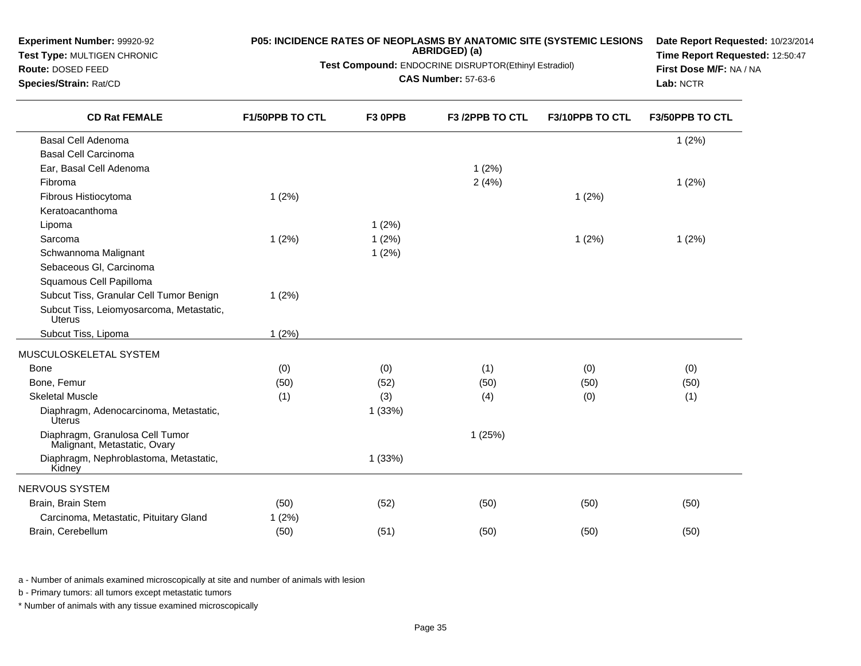| <b>Experiment Number: 99920-92</b><br>Test Type: MULTIGEN CHRONIC<br>Route: DOSED FEED<br>Species/Strain: Rat/CD | <b>P05: INCIDENCE RATES OF NEOPLASMS BY ANATOMIC SITE (SYSTEMIC LESIONS</b><br>Test Compound: ENDOCRINE DISRUPTOR(Ethinyl Estradiol) | Date Report Requested: 10/23/2014<br>Time Report Requested: 12:50:47<br>First Dose M/F: NA / NA<br>Lab: NCTR |                 |                 |                 |
|------------------------------------------------------------------------------------------------------------------|--------------------------------------------------------------------------------------------------------------------------------------|--------------------------------------------------------------------------------------------------------------|-----------------|-----------------|-----------------|
| <b>CD Rat FEMALE</b>                                                                                             | F1/50PPB TO CTL                                                                                                                      | F3 OPPB                                                                                                      | F3 /2PPB TO CTL | F3/10PPB TO CTL | F3/50PPB TO CTL |
| <b>Basal Cell Adenoma</b>                                                                                        |                                                                                                                                      |                                                                                                              |                 |                 | 1(2%)           |
| <b>Basal Cell Carcinoma</b>                                                                                      |                                                                                                                                      |                                                                                                              |                 |                 |                 |
| Ear, Basal Cell Adenoma                                                                                          |                                                                                                                                      |                                                                                                              | 1(2%)           |                 |                 |
| Fibroma                                                                                                          |                                                                                                                                      |                                                                                                              | 2(4%)           |                 | 1(2%)           |
| Fibrous Histiocytoma<br>Keratoacanthoma                                                                          | 1(2%)                                                                                                                                |                                                                                                              |                 | 1(2%)           |                 |
| Lipoma                                                                                                           |                                                                                                                                      | 1(2%)                                                                                                        |                 |                 |                 |
| Sarcoma                                                                                                          | 1(2%)                                                                                                                                | 1(2%)                                                                                                        |                 | 1(2%)           | 1(2%)           |
| Schwannoma Malignant                                                                                             |                                                                                                                                      | 1(2%)                                                                                                        |                 |                 |                 |
| Sebaceous Gl, Carcinoma                                                                                          |                                                                                                                                      |                                                                                                              |                 |                 |                 |
| Squamous Cell Papilloma                                                                                          |                                                                                                                                      |                                                                                                              |                 |                 |                 |
| Subcut Tiss, Granular Cell Tumor Benign                                                                          | 1(2%)                                                                                                                                |                                                                                                              |                 |                 |                 |
| Subcut Tiss, Leiomyosarcoma, Metastatic,<br><b>Uterus</b>                                                        |                                                                                                                                      |                                                                                                              |                 |                 |                 |
| Subcut Tiss, Lipoma                                                                                              | 1(2%)                                                                                                                                |                                                                                                              |                 |                 |                 |
| MUSCULOSKELETAL SYSTEM                                                                                           |                                                                                                                                      |                                                                                                              |                 |                 |                 |
| Bone                                                                                                             | (0)                                                                                                                                  | (0)                                                                                                          | (1)             | (0)             | (0)             |
| Bone, Femur                                                                                                      | (50)                                                                                                                                 | (52)                                                                                                         | (50)            | (50)            | (50)            |
| <b>Skeletal Muscle</b>                                                                                           | (1)                                                                                                                                  | (3)                                                                                                          | (4)             | (0)             | (1)             |
| Diaphragm, Adenocarcinoma, Metastatic,<br><b>Úterus</b>                                                          |                                                                                                                                      | 1(33%)                                                                                                       |                 |                 |                 |
| Diaphragm, Granulosa Cell Tumor<br>Malignant, Metastatic, Ovary                                                  |                                                                                                                                      |                                                                                                              | 1(25%)          |                 |                 |
| Diaphragm, Nephroblastoma, Metastatic,<br>Kidney                                                                 |                                                                                                                                      | 1(33%)                                                                                                       |                 |                 |                 |
| NERVOUS SYSTEM                                                                                                   |                                                                                                                                      |                                                                                                              |                 |                 |                 |
| Brain, Brain Stem                                                                                                | (50)                                                                                                                                 | (52)                                                                                                         | (50)            | (50)            | (50)            |
| Carcinoma, Metastatic, Pituitary Gland                                                                           | 1(2%)                                                                                                                                |                                                                                                              |                 |                 |                 |
| Brain, Cerebellum                                                                                                | (50)                                                                                                                                 | (51)                                                                                                         | (50)            | (50)            | (50)            |

b - Primary tumors: all tumors except metastatic tumors

**Experiment Number:** 99920-92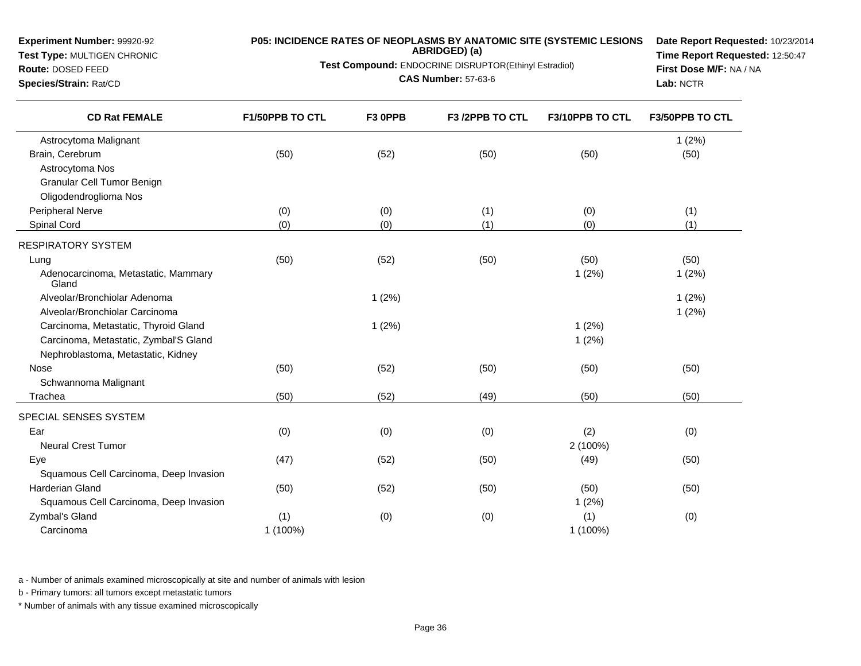### **Test Type:** MULTIGEN CHRONIC

### **Route:** DOSED FEED

**Species/Strain:** Rat/CD

# **P05: INCIDENCE RATES OF NEOPLASMS BY ANATOMIC SITE (SYSTEMIC LESIONS ABRIDGED) (a)**

**Test Compound:** ENDOCRINE DISRUPTOR(Ethinyl Estradiol)

**CAS Number:** 57-63-6

**Date Report Requested:** 10/23/2014**Time Report Requested:** 12:50:47**First Dose M/F:** NA / NA**Lab:** NCTR

| <b>CD Rat FEMALE</b>                         | F1/50PPB TO CTL | F3 OPPB | F3 /2PPB TO CTL | F3/10PPB TO CTL | F3/50PPB TO CTL |
|----------------------------------------------|-----------------|---------|-----------------|-----------------|-----------------|
| Astrocytoma Malignant                        |                 |         |                 |                 | 1(2%)           |
| Brain, Cerebrum                              | (50)            | (52)    | (50)            | (50)            | (50)            |
| Astrocytoma Nos                              |                 |         |                 |                 |                 |
| Granular Cell Tumor Benign                   |                 |         |                 |                 |                 |
| Oligodendroglioma Nos                        |                 |         |                 |                 |                 |
| Peripheral Nerve                             | (0)             | (0)     | (1)             | (0)             | (1)             |
| Spinal Cord                                  | (0)             | (0)     | (1)             | (0)             | (1)             |
| <b>RESPIRATORY SYSTEM</b>                    |                 |         |                 |                 |                 |
| Lung                                         | (50)            | (52)    | (50)            | (50)            | (50)            |
| Adenocarcinoma, Metastatic, Mammary<br>Gland |                 |         |                 | 1(2%)           | 1(2%)           |
| Alveolar/Bronchiolar Adenoma                 |                 | 1(2%)   |                 |                 | 1(2%)           |
| Alveolar/Bronchiolar Carcinoma               |                 |         |                 |                 | 1(2%)           |
| Carcinoma, Metastatic, Thyroid Gland         |                 | 1(2%)   |                 | 1(2%)           |                 |
| Carcinoma, Metastatic, Zymbal'S Gland        |                 |         |                 | 1(2%)           |                 |
| Nephroblastoma, Metastatic, Kidney           |                 |         |                 |                 |                 |
| Nose                                         | (50)            | (52)    | (50)            | (50)            | (50)            |
| Schwannoma Malignant                         |                 |         |                 |                 |                 |
| Trachea                                      | (50)            | (52)    | (49)            | (50)            | (50)            |
| SPECIAL SENSES SYSTEM                        |                 |         |                 |                 |                 |
| Ear                                          | (0)             | (0)     | (0)             | (2)             | (0)             |
| <b>Neural Crest Tumor</b>                    |                 |         |                 | 2 (100%)        |                 |
| Eye                                          | (47)            | (52)    | (50)            | (49)            | (50)            |
| Squamous Cell Carcinoma, Deep Invasion       |                 |         |                 |                 |                 |
| <b>Harderian Gland</b>                       | (50)            | (52)    | (50)            | (50)            | (50)            |
| Squamous Cell Carcinoma, Deep Invasion       |                 |         |                 | 1(2%)           |                 |
| Zymbal's Gland                               | (1)             | (0)     | (0)             | (1)             | (0)             |
| Carcinoma                                    | 1 (100%)        |         |                 | 1 (100%)        |                 |
|                                              |                 |         |                 |                 |                 |

a - Number of animals examined microscopically at site and number of animals with lesion

b - Primary tumors: all tumors except metastatic tumors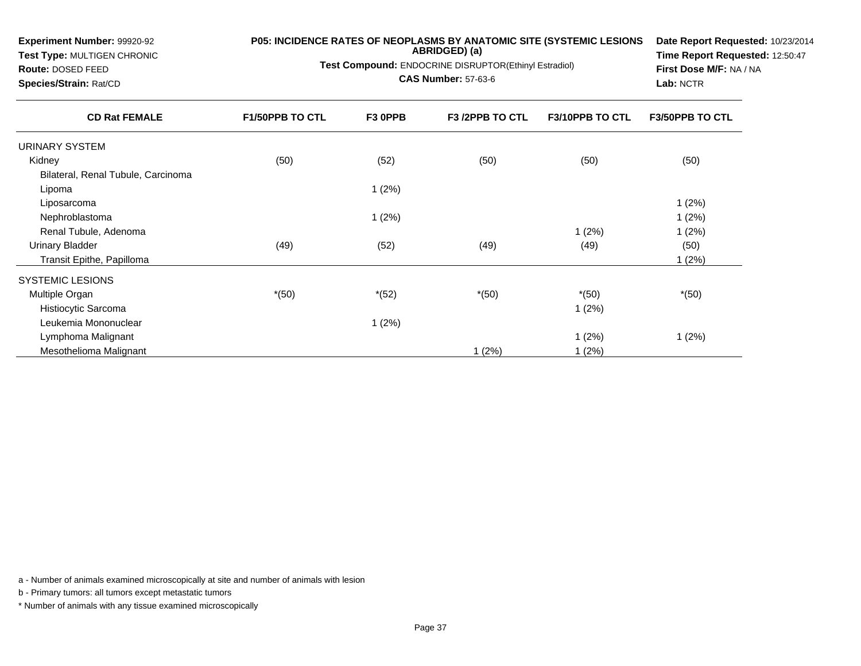| Experiment Number: 99920-92<br><b>Test Type: MULTIGEN CHRONIC</b><br>Route: DOSED FEED<br>Species/Strain: Rat/CD | P05: INCIDENCE RATES OF NEOPLASMS BY ANATOMIC SITE (SYSTEMIC LESIONS<br>Test Compound: ENDOCRINE DISRUPTOR(Ethinyl Estradiol) | Date Report Requested: 10/23/2014<br>Time Report Requested: 12:50:47<br>First Dose M/F: NA / NA<br>Lab: NCTR |                 |                        |                        |
|------------------------------------------------------------------------------------------------------------------|-------------------------------------------------------------------------------------------------------------------------------|--------------------------------------------------------------------------------------------------------------|-----------------|------------------------|------------------------|
| <b>CD Rat FEMALE</b>                                                                                             | <b>F1/50PPB TO CTL</b>                                                                                                        | F3 OPPB                                                                                                      | F3 /2PPB TO CTL | <b>F3/10PPB TO CTL</b> | <b>F3/50PPB TO CTL</b> |
| URINARY SYSTEM                                                                                                   |                                                                                                                               |                                                                                                              |                 |                        |                        |
| Kidney                                                                                                           | (50)                                                                                                                          | (52)                                                                                                         | (50)            | (50)                   | (50)                   |
| Bilateral, Renal Tubule, Carcinoma                                                                               |                                                                                                                               |                                                                                                              |                 |                        |                        |
| Lipoma                                                                                                           |                                                                                                                               | 1(2%)                                                                                                        |                 |                        |                        |
| Liposarcoma                                                                                                      |                                                                                                                               |                                                                                                              |                 |                        | 1(2%)                  |
| Nephroblastoma                                                                                                   |                                                                                                                               | 1(2%)                                                                                                        |                 |                        | 1(2%)                  |
| Renal Tubule, Adenoma                                                                                            |                                                                                                                               |                                                                                                              |                 | 1(2%)                  | 1(2%)                  |
| <b>Urinary Bladder</b>                                                                                           | (49)                                                                                                                          | (52)                                                                                                         | (49)            | (49)                   | (50)                   |
| Transit Epithe, Papilloma                                                                                        |                                                                                                                               |                                                                                                              |                 |                        | 1(2%)                  |
| <b>SYSTEMIC LESIONS</b>                                                                                          |                                                                                                                               |                                                                                                              |                 |                        |                        |
| Multiple Organ                                                                                                   | $*(50)$                                                                                                                       | $*(52)$                                                                                                      | $*(50)$         | $*(50)$                | $*(50)$                |
| Histiocytic Sarcoma                                                                                              |                                                                                                                               |                                                                                                              |                 | 1(2%)                  |                        |
| Leukemia Mononuclear                                                                                             |                                                                                                                               | 1(2%)                                                                                                        |                 |                        |                        |
| Lymphoma Malignant                                                                                               |                                                                                                                               |                                                                                                              |                 | 1(2%)                  | 1(2%)                  |
| Mesothelioma Malignant                                                                                           |                                                                                                                               |                                                                                                              | 1(2%)           | 1(2%)                  |                        |

b - Primary tumors: all tumors except metastatic tumors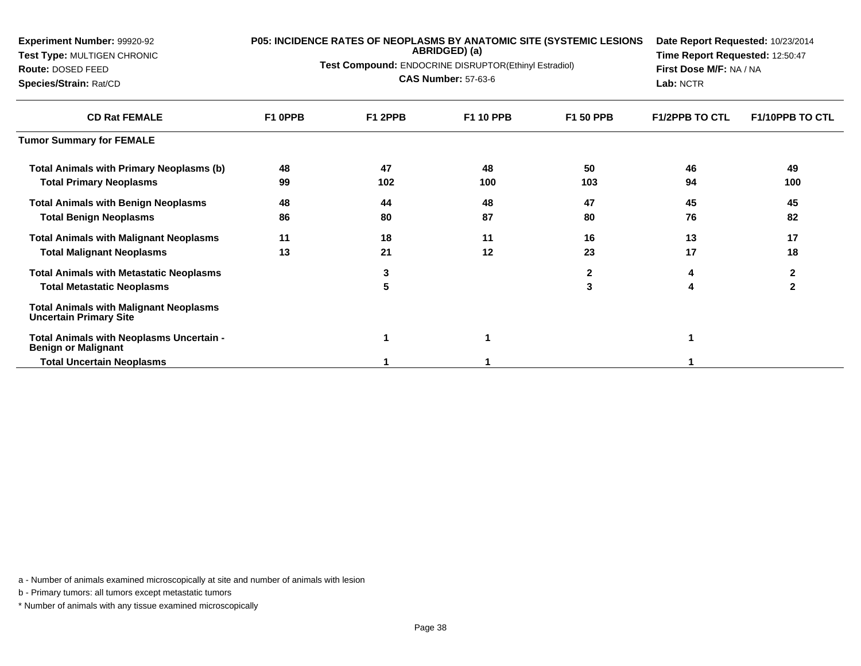| Experiment Number: 99920-92<br>Test Type: MULTIGEN CHRONIC<br><b>Route: DOSED FEED</b><br>Species/Strain: Rat/CD |         | ABRIDGED) (a)<br>Test Compound: ENDOCRINE DISRUPTOR(Ethinyl Estradiol)<br><b>CAS Number: 57-63-6</b> | P05: INCIDENCE RATES OF NEOPLASMS BY ANATOMIC SITE (SYSTEMIC LESIONS | Date Report Requested: 10/23/2014<br>Time Report Requested: 12:50:47<br>First Dose M/F: NA / NA<br>Lab: NCTR |                       |                        |
|------------------------------------------------------------------------------------------------------------------|---------|------------------------------------------------------------------------------------------------------|----------------------------------------------------------------------|--------------------------------------------------------------------------------------------------------------|-----------------------|------------------------|
| <b>CD Rat FEMALE</b>                                                                                             | F1 OPPB | F1 2PPB                                                                                              | <b>F1 10 PPB</b>                                                     | <b>F1 50 PPB</b>                                                                                             | <b>F1/2PPB TO CTL</b> | <b>F1/10PPB TO CTL</b> |
| <b>Tumor Summary for FEMALE</b>                                                                                  |         |                                                                                                      |                                                                      |                                                                                                              |                       |                        |
| Total Animals with Primary Neoplasms (b)                                                                         | 48      | 47                                                                                                   | 48                                                                   | 50                                                                                                           | 46                    | 49                     |
| <b>Total Primary Neoplasms</b>                                                                                   | 99      | 102                                                                                                  | 100                                                                  | 103                                                                                                          | 94                    | 100                    |
| <b>Total Animals with Benign Neoplasms</b>                                                                       | 48      | 44                                                                                                   | 48                                                                   | 47                                                                                                           | 45                    | 45                     |
| <b>Total Benign Neoplasms</b>                                                                                    | 86      | 80                                                                                                   | 87                                                                   | 80                                                                                                           | 76                    | 82                     |
| <b>Total Animals with Malignant Neoplasms</b>                                                                    | 11      | 18                                                                                                   | 11                                                                   | 16                                                                                                           | 13                    | 17                     |
| <b>Total Malignant Neoplasms</b>                                                                                 | 13      | 21                                                                                                   | 12                                                                   | 23                                                                                                           | 17                    | 18                     |
| <b>Total Animals with Metastatic Neoplasms</b>                                                                   |         | 3                                                                                                    |                                                                      | $\mathbf{2}$                                                                                                 |                       | $\mathbf{2}$           |
| <b>Total Metastatic Neoplasms</b>                                                                                |         | 5                                                                                                    |                                                                      | 3                                                                                                            | 4                     | $\mathbf{2}$           |
| <b>Total Animals with Malignant Neoplasms</b><br><b>Uncertain Primary Site</b>                                   |         |                                                                                                      |                                                                      |                                                                                                              |                       |                        |
| Total Animals with Neoplasms Uncertain -<br><b>Benign or Malignant</b>                                           |         | 1                                                                                                    |                                                                      |                                                                                                              |                       |                        |
| <b>Total Uncertain Neoplasms</b>                                                                                 |         |                                                                                                      |                                                                      |                                                                                                              |                       |                        |

b - Primary tumors: all tumors except metastatic tumors